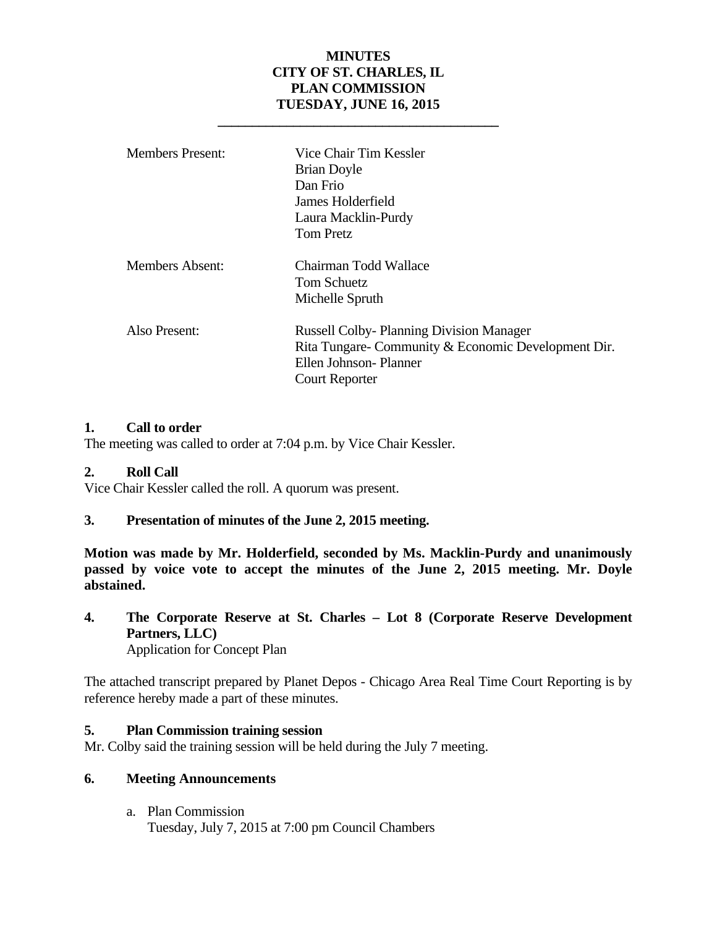## **MINUTES CITY OF ST. CHARLES, IL PLAN COMMISSION TUESDAY, JUNE 16, 2015**

 **\_\_\_\_\_\_\_\_\_\_\_\_\_\_\_\_\_\_\_\_\_\_\_\_\_\_\_\_\_\_\_\_\_\_\_\_\_\_\_\_\_** 

| <b>Members Present:</b> | Vice Chair Tim Kessler<br><b>Brian Doyle</b><br>Dan Frio<br>James Holderfield<br>Laura Macklin-Purdy                                             |
|-------------------------|--------------------------------------------------------------------------------------------------------------------------------------------------|
| Members Absent:         | <b>Tom Pretz</b><br>Chairman Todd Wallace<br>Tom Schuetz<br>Michelle Spruth                                                                      |
| Also Present:           | <b>Russell Colby-Planning Division Manager</b><br>Rita Tungare- Community & Economic Development Dir.<br>Ellen Johnson-Planner<br>Court Reporter |

#### **1. Call to order**

The meeting was called to order at 7:04 p.m. by Vice Chair Kessler.

## **2. Roll Call**

Vice Chair Kessler called the roll. A quorum was present.

## **3. Presentation of minutes of the June 2, 2015 meeting.**

**Motion was made by Mr. Holderfield, seconded by Ms. Macklin-Purdy and unanimously passed by voice vote to accept the minutes of the June 2, 2015 meeting. Mr. Doyle abstained.** 

**4. The Corporate Reserve at St. Charles – Lot 8 (Corporate Reserve Development Partners, LLC)** Application for Concept Plan

The attached transcript prepared by Planet Depos - Chicago Area Real Time Court Reporting is by reference hereby made a part of these minutes.

#### **5. Plan Commission training session**

Mr. Colby said the training session will be held during the July 7 meeting.

#### **6. Meeting Announcements**

a. Plan Commission Tuesday, July 7, 2015 at 7:00 pm Council Chambers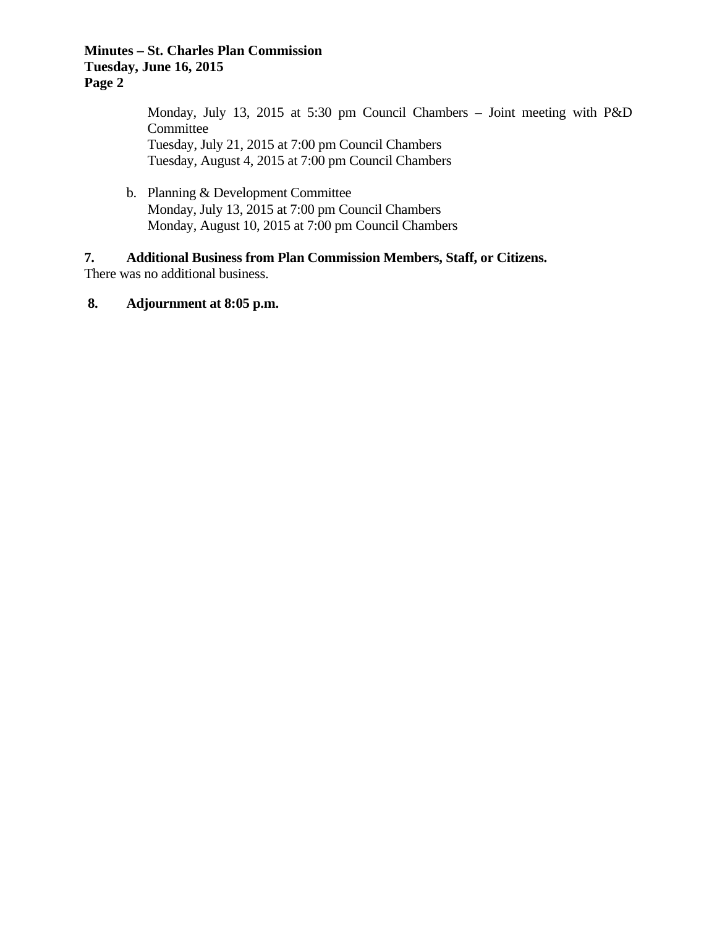#### **Minutes – St. Charles Plan Commission Tuesday, June 16, 2015 Page 2**

Monday, July 13, 2015 at 5:30 pm Council Chambers – Joint meeting with P&D Committee Tuesday, July 21, 2015 at 7:00 pm Council Chambers Tuesday, August 4, 2015 at 7:00 pm Council Chambers

b. Planning & Development Committee Monday, July 13, 2015 at 7:00 pm Council Chambers Monday, August 10, 2015 at 7:00 pm Council Chambers

#### **7. Additional Business from Plan Commission Members, Staff, or Citizens.**  There was no additional business.

## **8. Adjournment at 8:05 p.m.**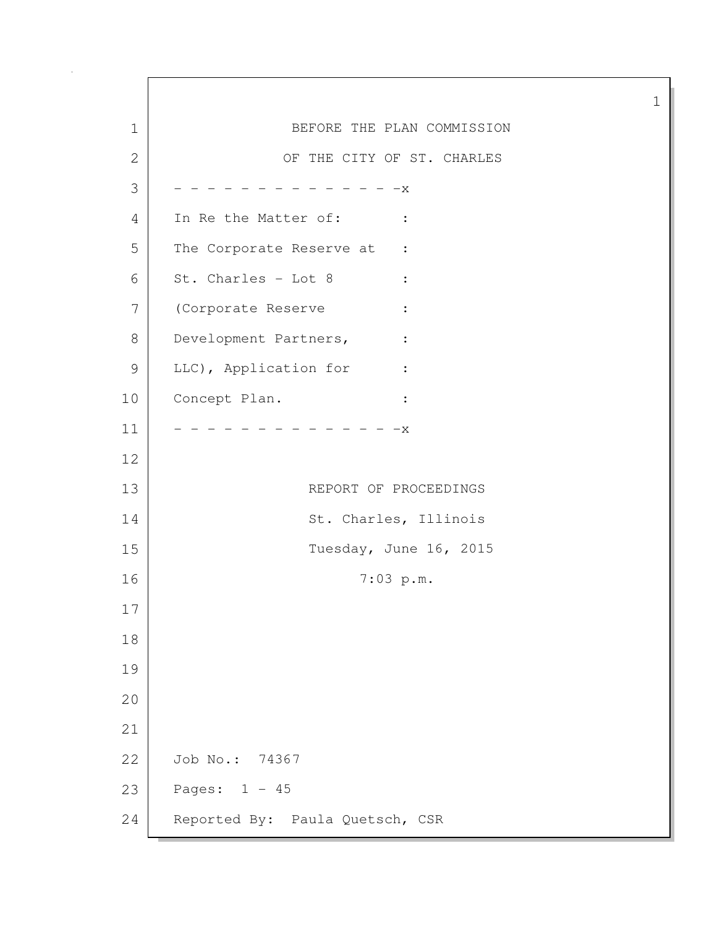1 BEFORE THE PLAN COMMISSION 2 OF THE CITY OF ST. CHARLES  $3$  - - - - - - - - - - - - X 4 In Re the Matter of: : 5 The Corporate Reserve at :  $6$  St. Charles - Lot 8 : 7 (Corporate Reserve : 8 Development Partners, : 9 LLC), Application for : 10 Concept Plan. :  $11$   $-$  - - - - - - - - - - - - X 12 13 REPORT OF PROCEEDINGS 14 St. Charles, Illinois 15 Tuesday, June 16, 2015 16 7:03 p.m. 17 18 19 20 21 22 Job No.: 74367 23 Pages: 1 - 45 24 Reported By: Paula Quetsch, CSR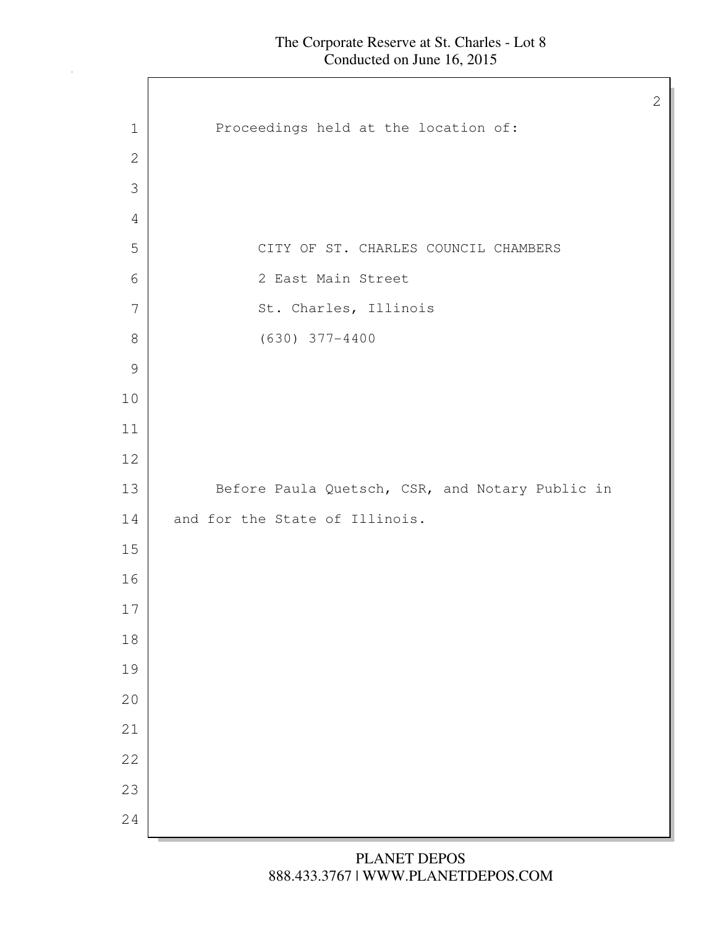1 Proceedings held at the location of: CITY OF ST. CHARLES COUNCIL CHAMBERS 2 East Main Street 7 St. Charles, Illinois (630) 377-4400 13 Before Paula Quetsch, CSR, and Notary Public in 14 and for the State of Illinois.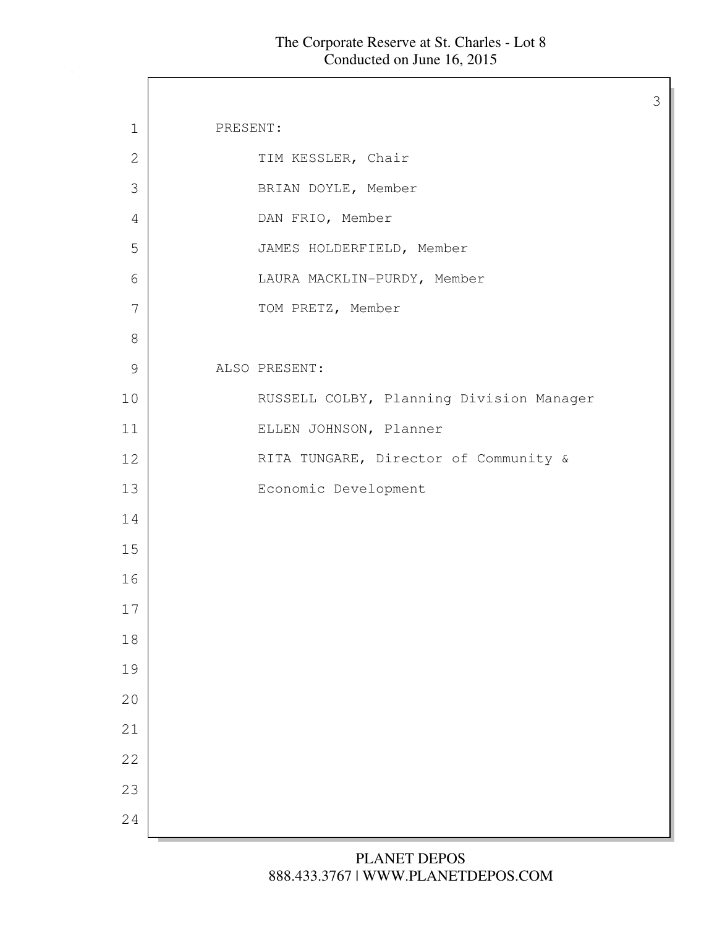$\mathsf{I}$ 

| $\mathbf 1$   | PRESENT:                                 |
|---------------|------------------------------------------|
| 2             | TIM KESSLER, Chair                       |
| 3             | BRIAN DOYLE, Member                      |
| 4             | DAN FRIO, Member                         |
| 5             | JAMES HOLDERFIELD, Member                |
| 6             | LAURA MACKLIN-PURDY, Member              |
| 7             | TOM PRETZ, Member                        |
| $8\,$         |                                          |
| $\mathcal{G}$ | ALSO PRESENT:                            |
| 10            | RUSSELL COLBY, Planning Division Manager |
| 11            | ELLEN JOHNSON, Planner                   |
| 12            | RITA TUNGARE, Director of Community &    |
| 13            | Economic Development                     |
| 14            |                                          |
| 15            |                                          |
| 16            |                                          |
| 17            |                                          |
| 18            |                                          |
| 19            |                                          |
| 20            |                                          |
| 21            |                                          |
| 22            |                                          |
| 23            |                                          |
| 24            |                                          |
|               |                                          |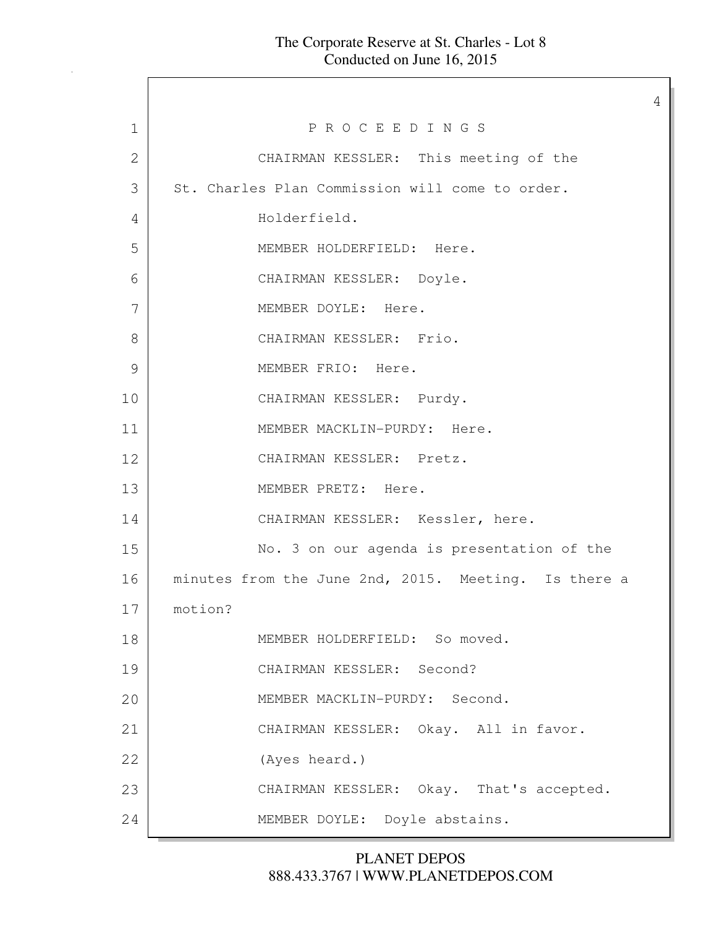#### The Corporate Reserve at St. Charles - Lot 8 Conducted on June 16, 2015

4

1 P R O C E E D I N G S 2 CHAIRMAN KESSLER: This meeting of the 3 St. Charles Plan Commission will come to order. 4 Holderfield. 5 MEMBER HOLDERFIELD: Here. 6 CHAIRMAN KESSLER: Doyle. 7 MEMBER DOYLE: Here. 8 CHAIRMAN KESSLER: Frio. 9 MEMBER FRIO: Here. 10 CHAIRMAN KESSLER: Purdy. 11 MEMBER MACKLIN-PURDY: Here. 12 CHAIRMAN KESSLER: Pretz. 13 MEMBER PRETZ: Here. 14 CHAIRMAN KESSLER: Kessler, here. 15 No. 3 on our agenda is presentation of the 16 | minutes from the June 2nd, 2015. Meeting. Is there a 17 motion? 18 MEMBER HOLDERFIELD: So moved. 19 CHAIRMAN KESSLER: Second? 20 MEMBER MACKLIN-PURDY: Second. 21 CHAIRMAN KESSLER: Okay. All in favor. 22 (Ayes heard.) 23 CHAIRMAN KESSLER: Okay. That's accepted. 24 MEMBER DOYLE: Doyle abstains.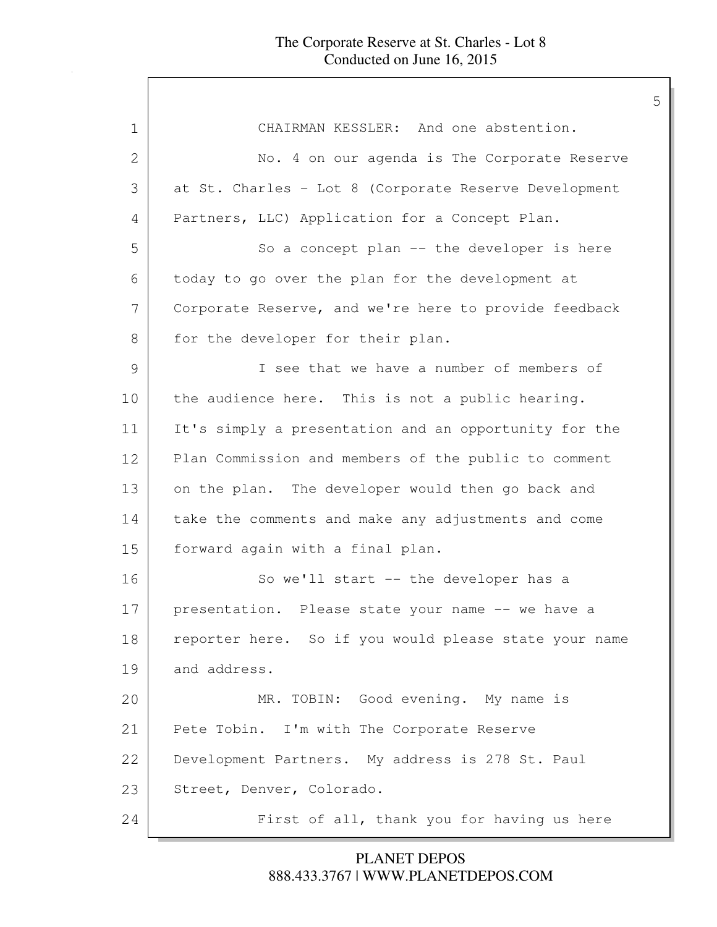| 1  | CHAIRMAN KESSLER: And one abstention.                 |
|----|-------------------------------------------------------|
| 2  | No. 4 on our agenda is The Corporate Reserve          |
| 3  | at St. Charles - Lot 8 (Corporate Reserve Development |
| 4  | Partners, LLC) Application for a Concept Plan.        |
| 5  | So a concept plan -- the developer is here            |
| 6  | today to go over the plan for the development at      |
| 7  | Corporate Reserve, and we're here to provide feedback |
| 8  | for the developer for their plan.                     |
| 9  | I see that we have a number of members of             |
| 10 | the audience here. This is not a public hearing.      |
| 11 | It's simply a presentation and an opportunity for the |
| 12 | Plan Commission and members of the public to comment  |
| 13 | on the plan. The developer would then go back and     |
| 14 | take the comments and make any adjustments and come   |
| 15 | forward again with a final plan.                      |
| 16 | So we'll start -- the developer has a                 |
| 17 | presentation. Please state your name -- we have a     |
| 18 | reporter here. So if you would please state your name |
| 19 | and address.                                          |
| 20 | MR. TOBIN: Good evening. My name is                   |
| 21 | Pete Tobin. I'm with The Corporate Reserve            |
| 22 | Development Partners. My address is 278 St. Paul      |
| 23 | Street, Denver, Colorado.                             |
| 24 | First of all, thank you for having us here            |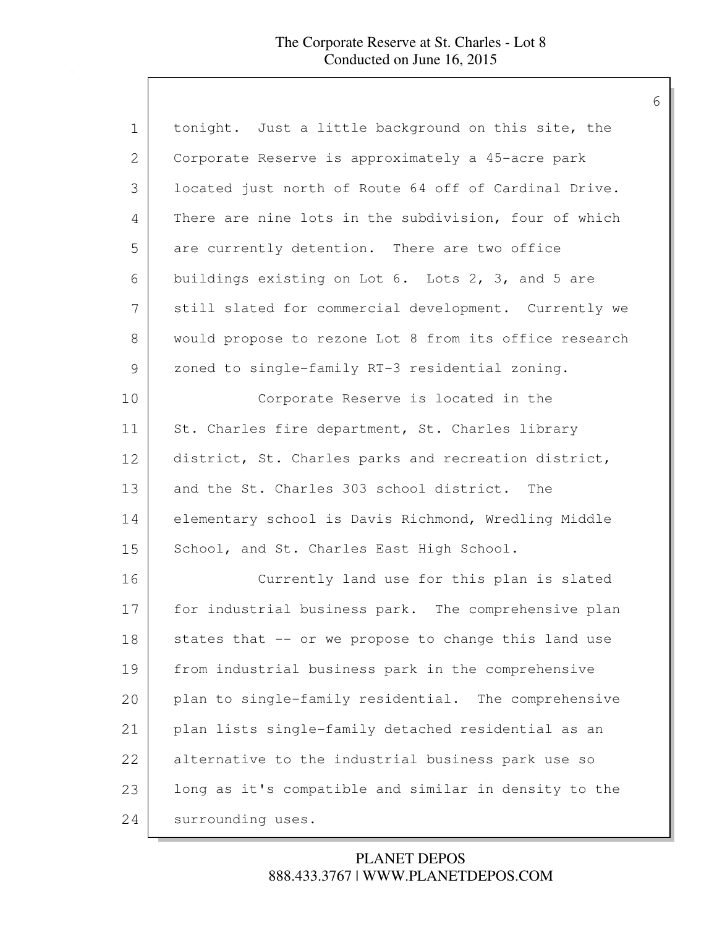| $\mathbf 1$   | tonight. Just a little background on this site, the    |
|---------------|--------------------------------------------------------|
| 2             | Corporate Reserve is approximately a 45-acre park      |
| 3             | located just north of Route 64 off of Cardinal Drive.  |
| 4             | There are nine lots in the subdivision, four of which  |
| 5             | are currently detention. There are two office          |
| 6             | buildings existing on Lot 6. Lots 2, 3, and 5 are      |
| 7             | still slated for commercial development. Currently we  |
| $8\,$         | would propose to rezone Lot 8 from its office research |
| $\mathcal{G}$ | zoned to single-family RT-3 residential zoning.        |
| 10            | Corporate Reserve is located in the                    |
| 11            | St. Charles fire department, St. Charles library       |
| 12            | district, St. Charles parks and recreation district,   |
| 13            | and the St. Charles 303 school district. The           |
| 14            | elementary school is Davis Richmond, Wredling Middle   |
| 15            | School, and St. Charles East High School.              |
| 16            | Currently land use for this plan is slated             |
| 17            | for industrial business park. The comprehensive plan   |
| 18            | states that -- or we propose to change this land use   |
| 19            | from industrial business park in the comprehensive     |
| 20            | plan to single-family residential. The comprehensive   |
| 21            | plan lists single-family detached residential as an    |
| 22            | alternative to the industrial business park use so     |
| 23            | long as it's compatible and similar in density to the  |
| 24            | surrounding uses.                                      |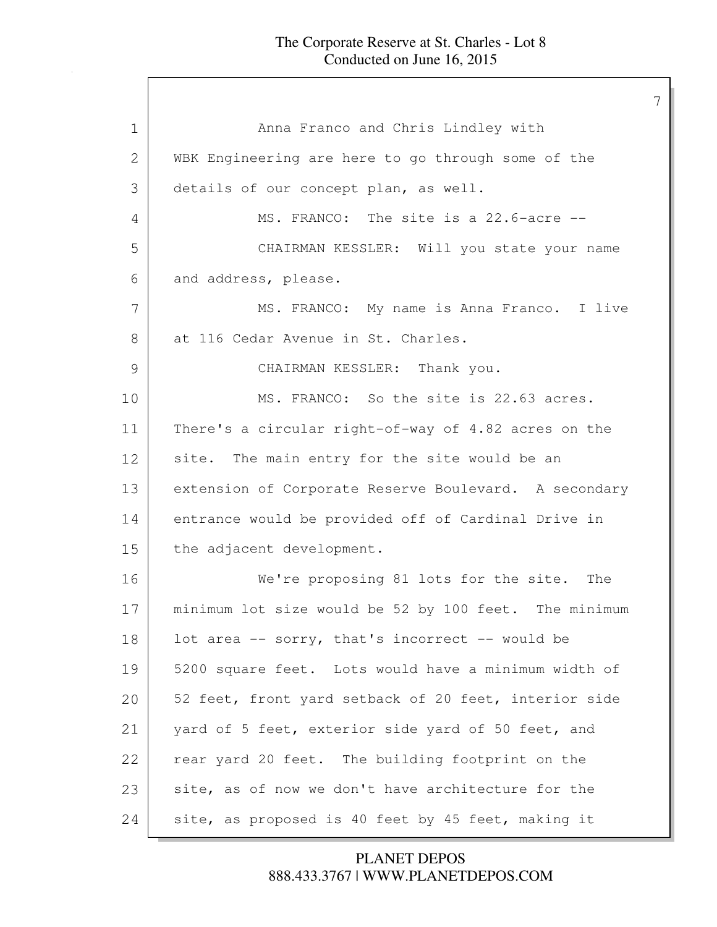| $\mathbf 1$   | Anna Franco and Chris Lindley with                    |
|---------------|-------------------------------------------------------|
| 2             | WBK Engineering are here to go through some of the    |
| 3             | details of our concept plan, as well.                 |
| 4             | MS. FRANCO: The site is a 22.6-acre --                |
| 5             | CHAIRMAN KESSLER: Will you state your name            |
| 6             | and address, please.                                  |
| 7             | MS. FRANCO: My name is Anna Franco. I live            |
| 8             | at 116 Cedar Avenue in St. Charles.                   |
| $\mathcal{G}$ | CHAIRMAN KESSLER: Thank you.                          |
| 10            | MS. FRANCO: So the site is 22.63 acres.               |
| 11            | There's a circular right-of-way of 4.82 acres on the  |
| 12            | site. The main entry for the site would be an         |
| 13            | extension of Corporate Reserve Boulevard. A secondary |
| 14            | entrance would be provided off of Cardinal Drive in   |
| 15            | the adjacent development.                             |
| 16            | We're proposing 81 lots for the site. The             |
| 17            | minimum lot size would be 52 by 100 feet. The minimum |
| 18            | lot area -- sorry, that's incorrect -- would be       |
| 19            | 5200 square feet. Lots would have a minimum width of  |
| 20            | 52 feet, front yard setback of 20 feet, interior side |
| 21            | yard of 5 feet, exterior side yard of 50 feet, and    |
| 22            | rear yard 20 feet. The building footprint on the      |
| 23            | site, as of now we don't have architecture for the    |
| 24            | site, as proposed is 40 feet by 45 feet, making it    |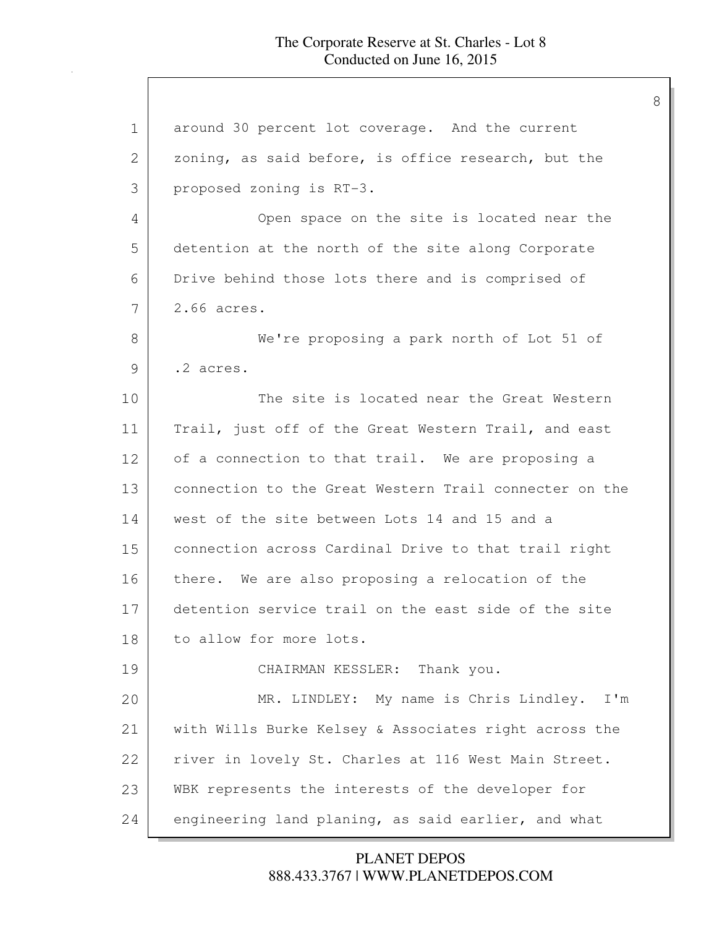| $\mathbf 1$ | around 30 percent lot coverage. And the current        |
|-------------|--------------------------------------------------------|
| 2           | zoning, as said before, is office research, but the    |
| 3           | proposed zoning is RT-3.                               |
| 4           | Open space on the site is located near the             |
| 5           | detention at the north of the site along Corporate     |
| 6           | Drive behind those lots there and is comprised of      |
| 7           | 2.66 acres.                                            |
| 8           | We're proposing a park north of Lot 51 of              |
| 9           | .2 acres.                                              |
| 10          | The site is located near the Great Western             |
| 11          | Trail, just off of the Great Western Trail, and east   |
| 12          | of a connection to that trail. We are proposing a      |
| 13          | connection to the Great Western Trail connecter on the |
| 14          | west of the site between Lots 14 and 15 and a          |
| 15          | connection across Cardinal Drive to that trail right   |
| 16          | there. We are also proposing a relocation of the       |
| 17          | detention service trail on the east side of the site   |
| 18          | to allow for more lots.                                |
| 19          | CHAIRMAN KESSLER: Thank you.                           |
| 20          | MR. LINDLEY: My name is Chris Lindley. I'm             |
| 21          | with Wills Burke Kelsey & Associates right across the  |
| 22          | river in lovely St. Charles at 116 West Main Street.   |
| 23          | WBK represents the interests of the developer for      |
| 24          | engineering land planing, as said earlier, and what    |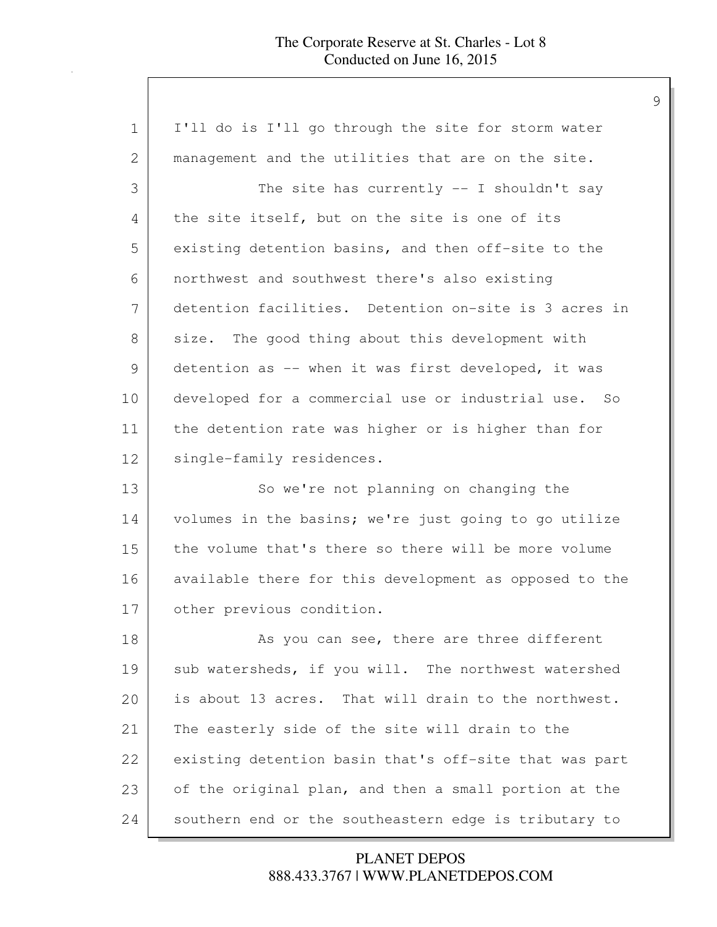| $\mathbf 1$ | I'll do is I'll go through the site for storm water    |
|-------------|--------------------------------------------------------|
| 2           | management and the utilities that are on the site.     |
| 3           | The site has currently $--$ I shouldn't say            |
| 4           | the site itself, but on the site is one of its         |
| 5           | existing detention basins, and then off-site to the    |
| 6           | northwest and southwest there's also existing          |
| 7           | detention facilities. Detention on-site is 3 acres in  |
| 8           | size. The good thing about this development with       |
| 9           | detention as -- when it was first developed, it was    |
| 10          | developed for a commercial use or industrial use. So   |
| 11          | the detention rate was higher or is higher than for    |
| 12          | single-family residences.                              |
| 13          | So we're not planning on changing the                  |
| 14          | volumes in the basins; we're just going to go utilize  |
| 15          | the volume that's there so there will be more volume   |
| 16          | available there for this development as opposed to the |
| 17          | other previous condition.                              |
| 18          | As you can see, there are three different              |
| 19          | sub watersheds, if you will. The northwest watershed   |
| 20          | is about 13 acres. That will drain to the northwest.   |
| 21          | The easterly side of the site will drain to the        |
| 22          | existing detention basin that's off-site that was part |
| 23          | of the original plan, and then a small portion at the  |
| 24          | southern end or the southeastern edge is tributary to  |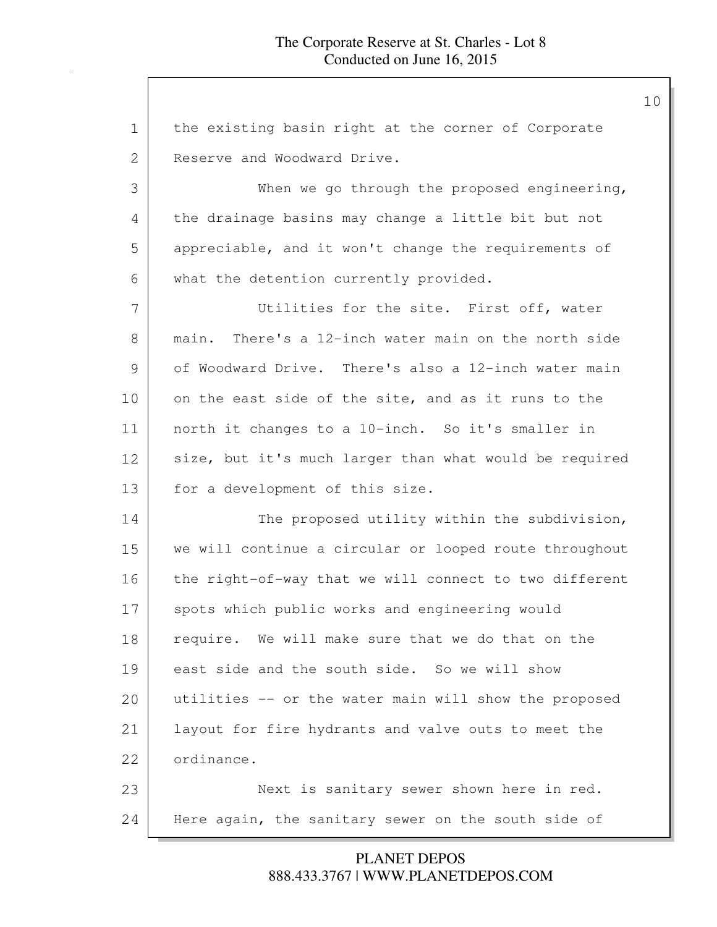| $\mathbf 1$ | the existing basin right at the corner of Corporate    |
|-------------|--------------------------------------------------------|
| 2           | Reserve and Woodward Drive.                            |
| 3           | When we go through the proposed engineering,           |
| 4           | the drainage basins may change a little bit but not    |
| 5           | appreciable, and it won't change the requirements of   |
| 6           | what the detention currently provided.                 |
| 7           | Utilities for the site. First off, water               |
| 8           | main. There's a 12-inch water main on the north side   |
| 9           | of Woodward Drive. There's also a 12-inch water main   |
| 10          | on the east side of the site, and as it runs to the    |
| 11          | north it changes to a 10-inch. So it's smaller in      |
| 12          | size, but it's much larger than what would be required |
| 13          | for a development of this size.                        |
| 14          | The proposed utility within the subdivision,           |
| 15          | we will continue a circular or looped route throughout |
| 16          | the right-of-way that we will connect to two different |
| 17          | spots which public works and engineering would         |
| 18          | require. We will make sure that we do that on the      |
| 19          | east side and the south side. So we will show          |
| 20          | utilities -- or the water main will show the proposed  |
| 21          | layout for fire hydrants and valve outs to meet the    |
| 22          | ordinance.                                             |
| 23          | Next is sanitary sewer shown here in red.              |
| 24          | Here again, the sanitary sewer on the south side of    |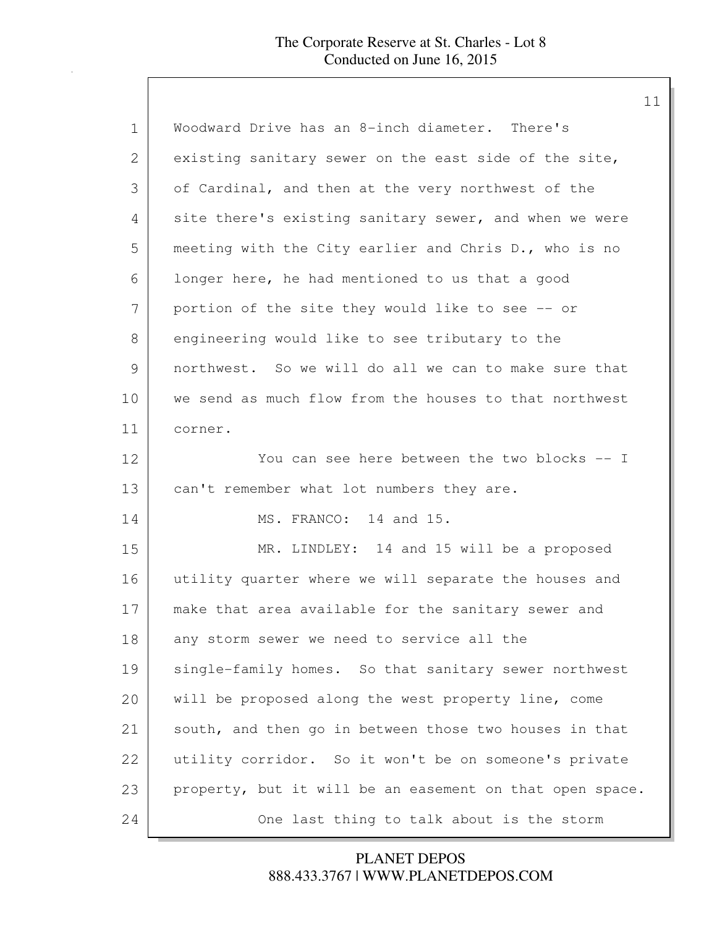| $\mathbf 1$ | Woodward Drive has an 8-inch diameter. There's           |
|-------------|----------------------------------------------------------|
| 2           | existing sanitary sewer on the east side of the site,    |
| 3           | of Cardinal, and then at the very northwest of the       |
| 4           | site there's existing sanitary sewer, and when we were   |
| 5           | meeting with the City earlier and Chris D., who is no    |
| 6           | longer here, he had mentioned to us that a good          |
| 7           | portion of the site they would like to see -- or         |
| 8           | engineering would like to see tributary to the           |
| 9           | northwest. So we will do all we can to make sure that    |
| 10          | we send as much flow from the houses to that northwest   |
| 11          | corner.                                                  |
| 12          | You can see here between the two blocks -- I             |
| 13          | can't remember what lot numbers they are.                |
| 14          | MS. FRANCO: 14 and 15.                                   |
| 15          | MR. LINDLEY: 14 and 15 will be a proposed                |
| 16          | utility quarter where we will separate the houses and    |
| 17          | make that area available for the sanitary sewer and      |
| 18          | any storm sewer we need to service all the               |
| 19          | single-family homes. So that sanitary sewer northwest    |
| 20          | will be proposed along the west property line, come      |
| 21          | south, and then go in between those two houses in that   |
| 22          | utility corridor. So it won't be on someone's private    |
| 23          | property, but it will be an easement on that open space. |
| 24          | One last thing to talk about is the storm                |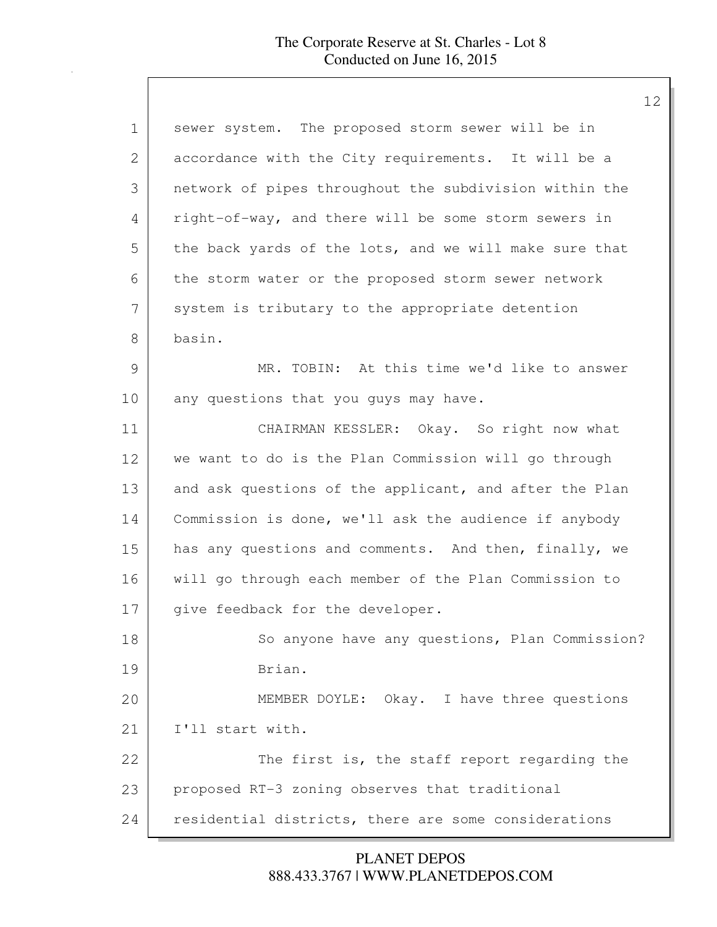| ᅩ                                                      |
|--------------------------------------------------------|
| sewer system. The proposed storm sewer will be in      |
| accordance with the City requirements. It will be a    |
| network of pipes throughout the subdivision within the |
| right-of-way, and there will be some storm sewers in   |
| the back yards of the lots, and we will make sure that |
| the storm water or the proposed storm sewer network    |
| system is tributary to the appropriate detention       |
| basin.                                                 |
| MR. TOBIN: At this time we'd like to answer            |
| any questions that you guys may have.                  |
| CHAIRMAN KESSLER: Okay. So right now what              |
| we want to do is the Plan Commission will go through   |
| and ask questions of the applicant, and after the Plan |
| Commission is done, we'll ask the audience if anybody  |
| has any questions and comments. And then, finally, we  |
| will go through each member of the Plan Commission to  |
| give feedback for the developer.                       |
| So anyone have any questions, Plan Commission?         |
| Brian.                                                 |
| MEMBER DOYLE: Okay. I have three questions             |
| I'll start with.                                       |
| The first is, the staff report regarding the           |
| proposed RT-3 zoning observes that traditional         |
| residential districts, there are some considerations   |
|                                                        |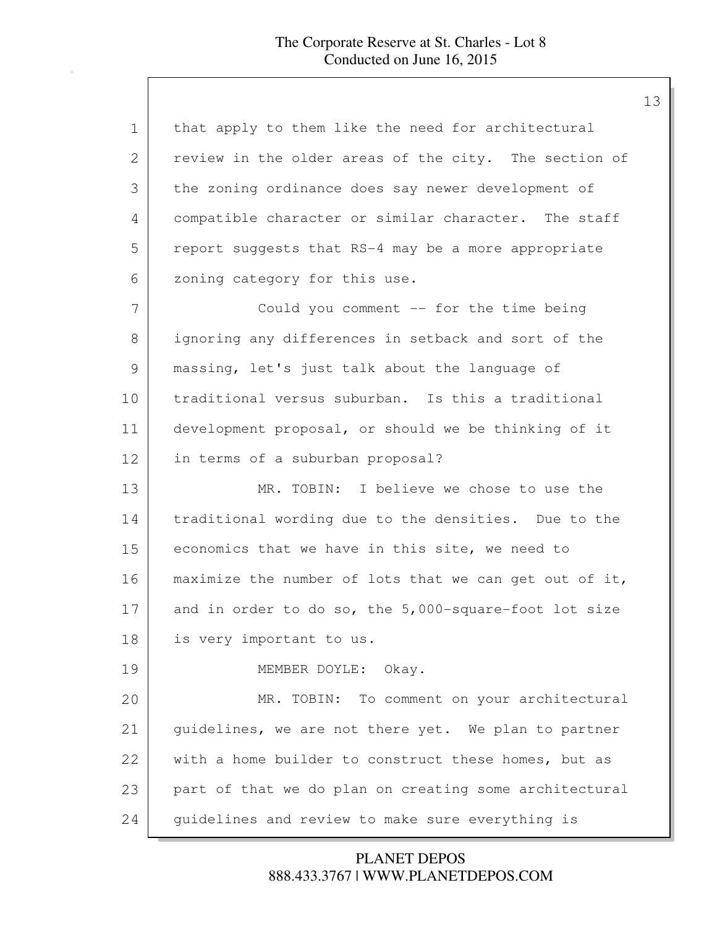| $\mathbf 1$ | that apply to them like the need for architectural     |
|-------------|--------------------------------------------------------|
| 2           | review in the older areas of the city. The section of  |
| 3           | the zoning ordinance does say newer development of     |
| 4           | compatible character or similar character. The staff   |
| 5           | report suggests that RS-4 may be a more appropriate    |
| 6           | zoning category for this use.                          |
| 7           | Could you comment $-$ for the time being               |
| 8           | ignoring any differences in setback and sort of the    |
| 9           | massing, let's just talk about the language of         |
| 10          | traditional versus suburban. Is this a traditional     |
| 11          | development proposal, or should we be thinking of it   |
| 12          | in terms of a suburban proposal?                       |
| 13          | MR. TOBIN: I believe we chose to use the               |
| 14          | traditional wording due to the densities. Due to the   |
| 15          | economics that we have in this site, we need to        |
| 16          | maximize the number of lots that we can get out of it, |
| 17          | and in order to do so, the 5,000-square-foot lot size  |
| 18          | is very important to us.                               |
| 19          | MEMBER DOYLE:<br>Okay.                                 |
| 20          | To comment on your architectural<br>MR. TOBIN:         |
| 21          | guidelines, we are not there yet. We plan to partner   |
| 22          | with a home builder to construct these homes, but as   |
| 23          | part of that we do plan on creating some architectural |
| 24          | guidelines and review to make sure everything is       |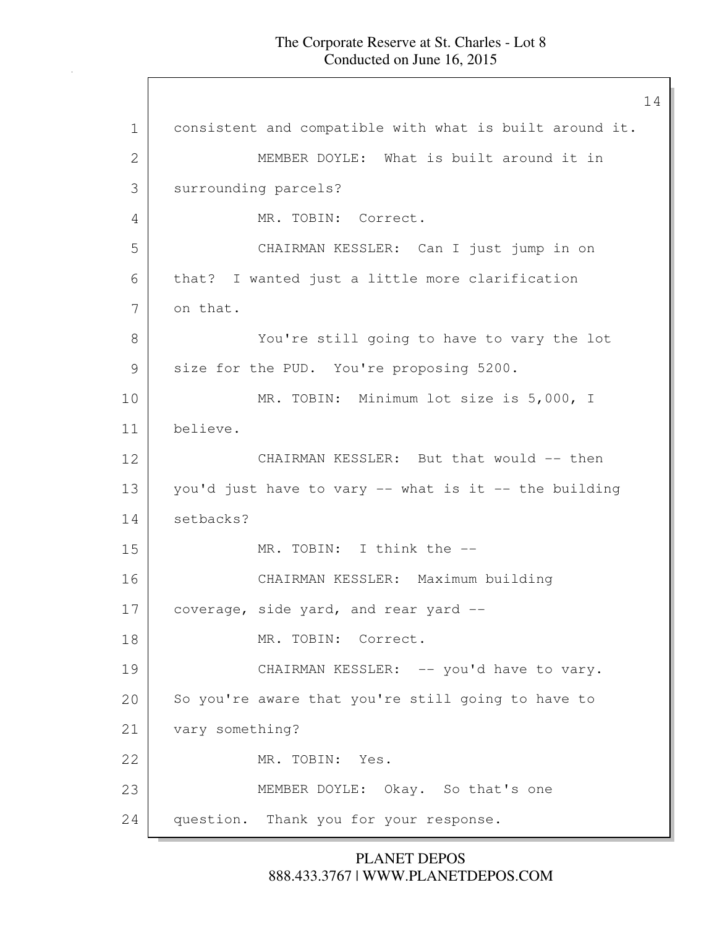1 consistent and compatible with what is built around it. 2 MEMBER DOYLE: What is built around it in 3 | surrounding parcels? 4 MR. TOBIN: Correct. 5 CHAIRMAN KESSLER: Can I just jump in on 6 that? I wanted just a little more clarification 7 on that. 8 You're still going to have to vary the lot 9 size for the PUD. You're proposing 5200. 10 MR. TOBIN: Minimum lot size is 5,000, I 11 believe. 12 CHAIRMAN KESSLER: But that would -- then 13 you'd just have to vary -- what is it -- the building 14 setbacks? 15 MR. TOBIN: I think the -- 16 CHAIRMAN KESSLER: Maximum building  $17$  coverage, side yard, and rear yard  $-$ 18 MR. TOBIN: Correct. 19 CHAIRMAN KESSLER: -- you'd have to vary. 20 So you're aware that you're still going to have to 21 vary something? 22 MR. TOBIN: Yes. 23 MEMBER DOYLE: Okay. So that's one 24 question. Thank you for your response.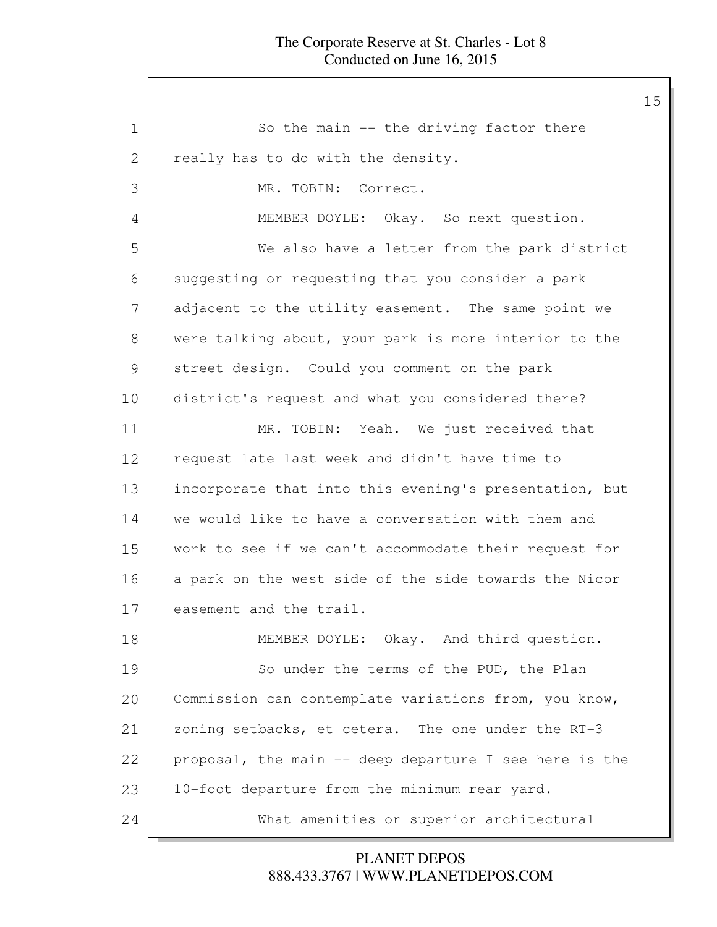1 So the main -- the driving factor there 2 really has to do with the density. 3 MR. TOBIN: Correct. 4 MEMBER DOYLE: Okay. So next question. 5 We also have a letter from the park district 6 suggesting or requesting that you consider a park 7 adjacent to the utility easement. The same point we 8 were talking about, your park is more interior to the 9 street design. Could you comment on the park 10 district's request and what you considered there? 11 MR. TOBIN: Yeah. We just received that 12 request late last week and didn't have time to 13 incorporate that into this evening's presentation, but 14 we would like to have a conversation with them and 15 work to see if we can't accommodate their request for 16 a park on the west side of the side towards the Nicor 17 easement and the trail. 18 MEMBER DOYLE: Okay. And third question. 19 So under the terms of the PUD, the Plan 20 Commission can contemplate variations from, you know, 21 zoning setbacks, et cetera. The one under the RT-3 22 proposal, the main -- deep departure I see here is the 23 | 10-foot departure from the minimum rear yard. 24 What amenities or superior architectural

> 888.433.3767 | WWW.PLANETDEPOS.COM PLANET DEPOS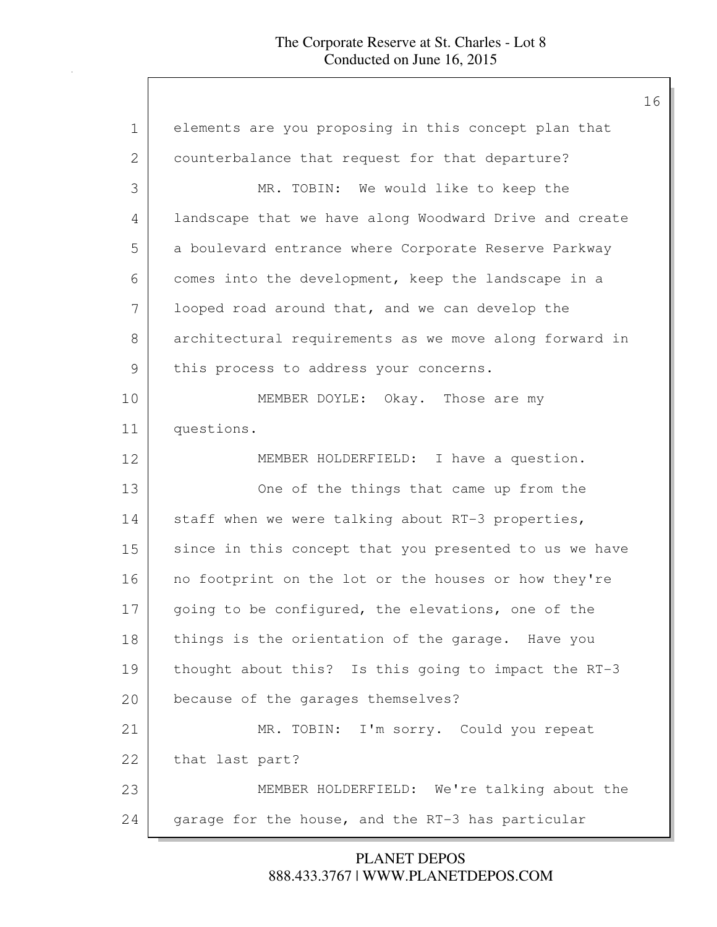| $\mathbf{1}$ | elements are you proposing in this concept plan that   |
|--------------|--------------------------------------------------------|
| 2            | counterbalance that request for that departure?        |
| 3            | MR. TOBIN: We would like to keep the                   |
| 4            | landscape that we have along Woodward Drive and create |
| 5            | a boulevard entrance where Corporate Reserve Parkway   |
| 6            | comes into the development, keep the landscape in a    |
| 7            | looped road around that, and we can develop the        |
| 8            | architectural requirements as we move along forward in |
| 9            | this process to address your concerns.                 |
| 10           | MEMBER DOYLE: Okay. Those are my                       |
| 11           | questions.                                             |
| 12           | MEMBER HOLDERFIELD: I have a question.                 |
| 13           | One of the things that came up from the                |
| 14           | staff when we were talking about RT-3 properties,      |
| 15           | since in this concept that you presented to us we have |
| 16           | no footprint on the lot or the houses or how they're   |
| 17           | going to be configured, the elevations, one of the     |
| 18           | things is the orientation of the garage. Have you      |
| 19           | thought about this? Is this going to impact the RT-3   |
| 20           | because of the garages themselves?                     |
| 21           | MR. TOBIN: I'm sorry. Could you repeat                 |
| 22           | that last part?                                        |
| 23           | MEMBER HOLDERFIELD: We're talking about the            |
| 24           | garage for the house, and the RT-3 has particular      |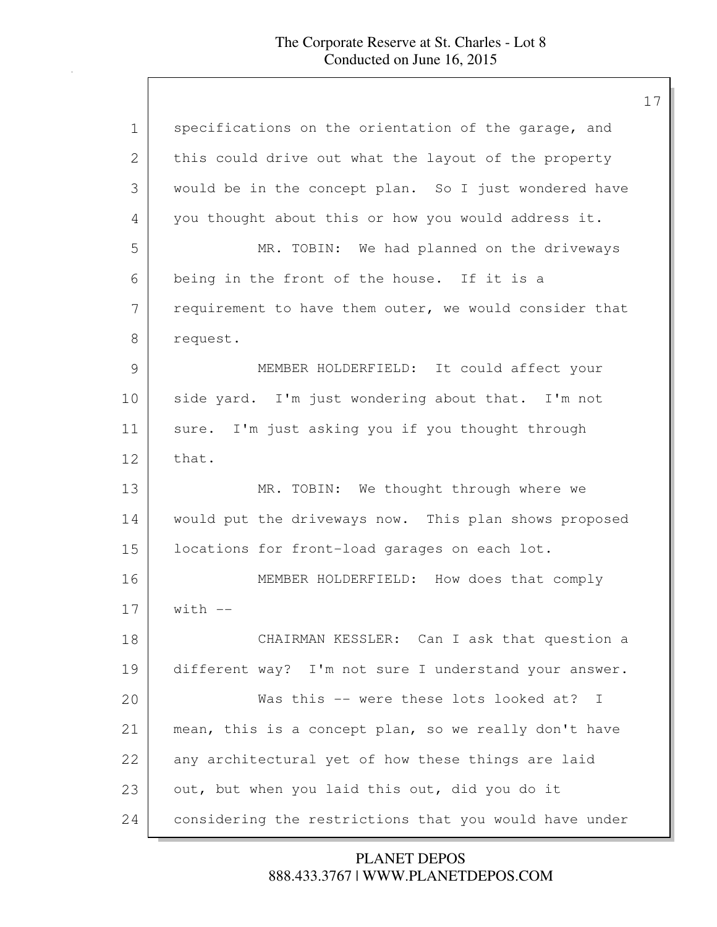| 1             | specifications on the orientation of the garage, and   |
|---------------|--------------------------------------------------------|
| 2             | this could drive out what the layout of the property   |
| 3             | would be in the concept plan. So I just wondered have  |
| 4             | you thought about this or how you would address it.    |
| 5             | MR. TOBIN: We had planned on the driveways             |
| 6             | being in the front of the house. If it is a            |
| 7             | requirement to have them outer, we would consider that |
| 8             | request.                                               |
| $\mathcal{G}$ | MEMBER HOLDERFIELD: It could affect your               |
| 10            | side yard. I'm just wondering about that. I'm not      |
| 11            | sure. I'm just asking you if you thought through       |
| 12            | that.                                                  |
| 13            | MR. TOBIN: We thought through where we                 |
| 14            | would put the driveways now. This plan shows proposed  |
| 15            | locations for front-load garages on each lot.          |
| 16            | MEMBER HOLDERFIELD: How does that comply               |
| 17            | $with --$                                              |
| 18            | CHAIRMAN KESSLER: Can I ask that question a            |
| 19            | different way? I'm not sure I understand your answer.  |
| 20            | Was this -- were these lots looked at? I               |
| 21            | mean, this is a concept plan, so we really don't have  |
| 22            | any architectural yet of how these things are laid     |
| 23            | out, but when you laid this out, did you do it         |
| 24            | considering the restrictions that you would have under |
|               |                                                        |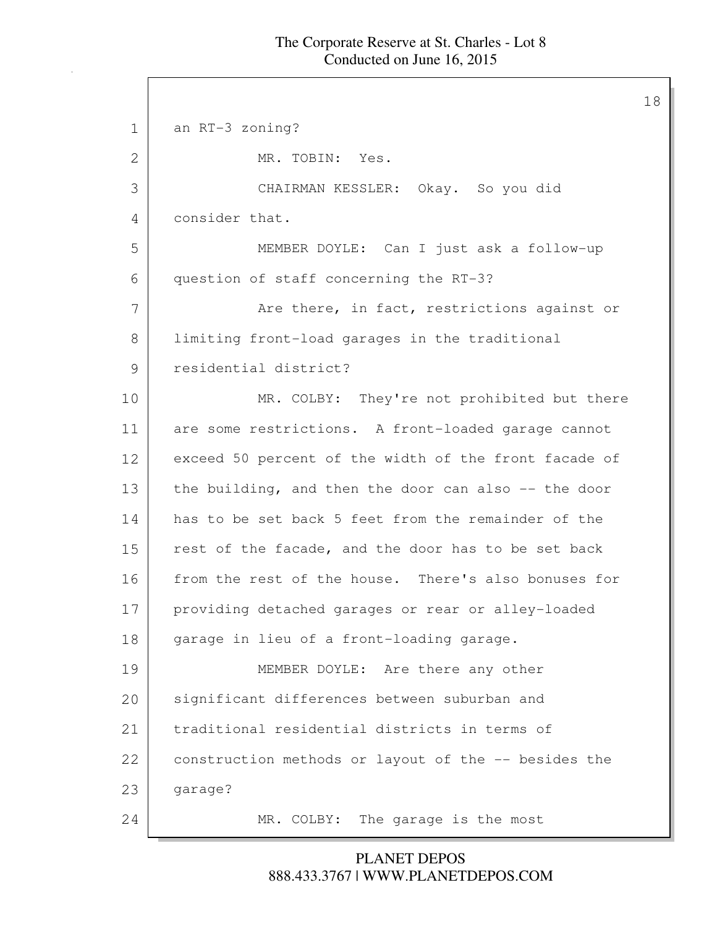18

1 an RT-3 zoning? 2 MR. TOBIN: Yes. 3 CHAIRMAN KESSLER: Okay. So you did 4 consider that. 5 MEMBER DOYLE: Can I just ask a follow-up 6 question of staff concerning the RT-3? 7 Are there, in fact, restrictions against or 8 | limiting front-load garages in the traditional 9 residential district? 10 MR. COLBY: They're not prohibited but there 11 are some restrictions. A front-loaded garage cannot 12 exceed 50 percent of the width of the front facade of 13 the building, and then the door can also -- the door 14 has to be set back 5 feet from the remainder of the 15 rest of the facade, and the door has to be set back 16 from the rest of the house. There's also bonuses for 17 providing detached garages or rear or alley-loaded 18 garage in lieu of a front-loading garage. 19 MEMBER DOYLE: Are there any other 20 significant differences between suburban and 21 traditional residential districts in terms of 22 construction methods or layout of the -- besides the 23 garage? 24 MR. COLBY: The garage is the most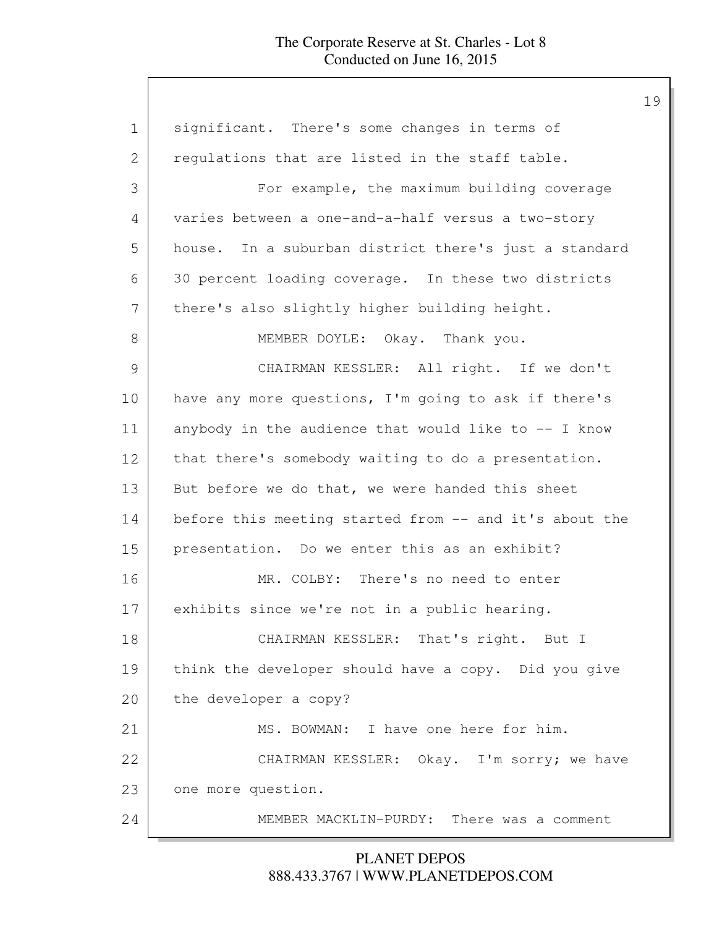## The Corporate Reserve at St. Charles - Lot 8 Conducted on June 16, 2015

| $\mathbf 1$  | significant. There's some changes in terms of          |
|--------------|--------------------------------------------------------|
| $\mathbf{2}$ | regulations that are listed in the staff table.        |
| 3            | For example, the maximum building coverage             |
| 4            | varies between a one-and-a-half versus a two-story     |
| 5            | house. In a suburban district there's just a standard  |
| 6            | 30 percent loading coverage. In these two districts    |
| 7            | there's also slightly higher building height.          |
| $8\,$        | MEMBER DOYLE: Okay. Thank you.                         |
| 9            | CHAIRMAN KESSLER: All right. If we don't               |
| 10           | have any more questions, I'm going to ask if there's   |
| 11           | anybody in the audience that would like to -- I know   |
| 12           | that there's somebody waiting to do a presentation.    |
| 13           | But before we do that, we were handed this sheet       |
| 14           | before this meeting started from -- and it's about the |
| 15           | presentation. Do we enter this as an exhibit?          |
| 16           | MR. COLBY: There's no need to enter                    |
| 17           | exhibits since we're not in a public hearing.          |
| 18           | CHAIRMAN KESSLER: That's right. But I                  |
| 19           | think the developer should have a copy. Did you give   |
| 20           | the developer a copy?                                  |
| 21           | MS. BOWMAN: I have one here for him.                   |
| 22           | CHAIRMAN KESSLER: Okay. I'm sorry; we have             |
| 23           | one more question.                                     |
| 24           | MEMBER MACKLIN-PURDY: There was a comment              |

888.433.3767 | WWW.PLANETDEPOS.COM PLANET DEPOS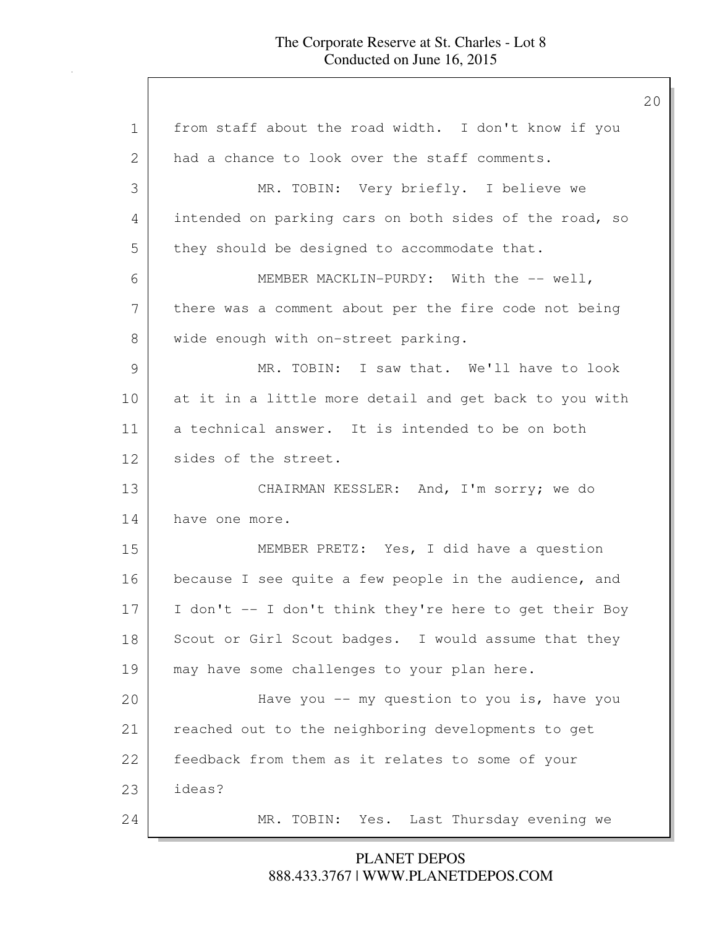| $\mathbf 1$   | from staff about the road width. I don't know if you   |
|---------------|--------------------------------------------------------|
| 2             | had a chance to look over the staff comments.          |
| 3             | MR. TOBIN: Very briefly. I believe we                  |
| 4             | intended on parking cars on both sides of the road, so |
| 5             | they should be designed to accommodate that.           |
| 6             | MEMBER MACKLIN-PURDY: With the -- well,                |
| 7             | there was a comment about per the fire code not being  |
| 8             | wide enough with on-street parking.                    |
| $\mathcal{G}$ | MR. TOBIN: I saw that. We'll have to look              |
| 10            | at it in a little more detail and get back to you with |
| 11            | a technical answer. It is intended to be on both       |
| 12            | sides of the street.                                   |
| 13            | CHAIRMAN KESSLER: And, I'm sorry; we do                |
| 14            | have one more.                                         |
| 15            | MEMBER PRETZ: Yes, I did have a question               |
| 16            | because I see quite a few people in the audience, and  |
| 17            | I don't -- I don't think they're here to get their Boy |
| 18            | Scout or Girl Scout badges. I would assume that they   |
| 19            | may have some challenges to your plan here.            |
| 20            | Have you $--$ my question to you is, have you          |
| 21            | reached out to the neighboring developments to get     |
| 22            | feedback from them as it relates to some of your       |
| 23            | ideas?                                                 |
| 24            | MR. TOBIN: Yes. Last Thursday evening we               |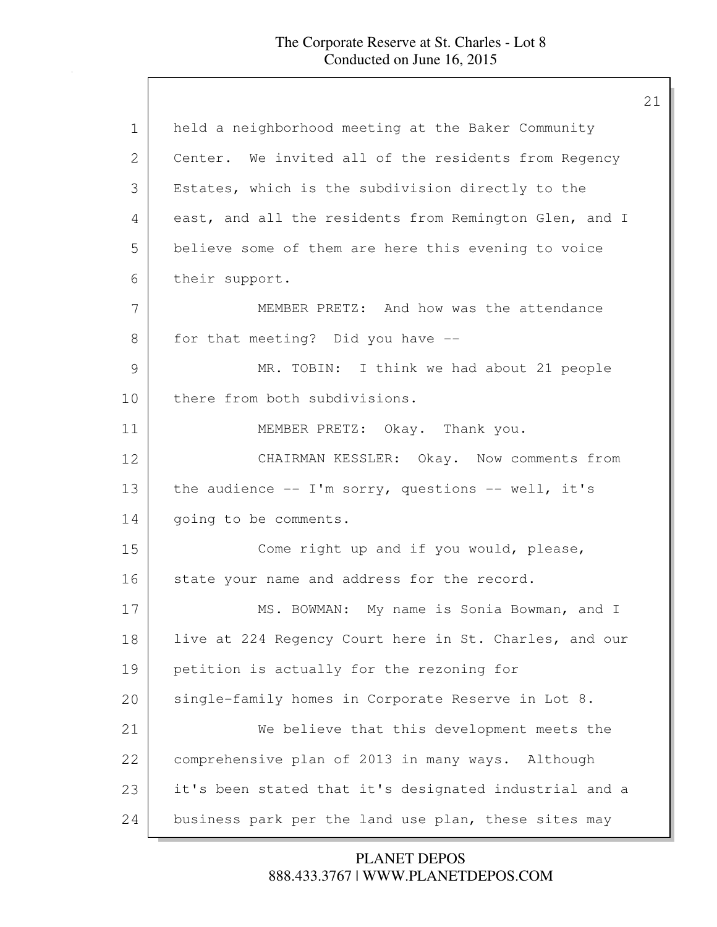| $\mathbf 1$ | held a neighborhood meeting at the Baker Community     |
|-------------|--------------------------------------------------------|
| 2           | Center. We invited all of the residents from Regency   |
| 3           | Estates, which is the subdivision directly to the      |
| 4           | east, and all the residents from Remington Glen, and I |
| 5           | believe some of them are here this evening to voice    |
| 6           | their support.                                         |
| 7           | MEMBER PRETZ: And how was the attendance               |
| 8           | for that meeting? Did you have --                      |
| 9           | MR. TOBIN: I think we had about 21 people              |
| 10          | there from both subdivisions.                          |
| 11          | MEMBER PRETZ: Okay. Thank you.                         |
| 12          | CHAIRMAN KESSLER: Okay. Now comments from              |
| 13          | the audience -- I'm sorry, questions -- well, it's     |
| 14          | going to be comments.                                  |
| 15          | Come right up and if you would, please,                |
| 16          | state your name and address for the record.            |
| 17          | MS. BOWMAN: My name is Sonia Bowman, and I             |
| 18          | live at 224 Regency Court here in St. Charles, and our |
| 19          | petition is actually for the rezoning for              |
| 20          | single-family homes in Corporate Reserve in Lot 8.     |
| 21          | We believe that this development meets the             |
| 22          | comprehensive plan of 2013 in many ways. Although      |
| 23          | it's been stated that it's designated industrial and a |
| 24          | business park per the land use plan, these sites may   |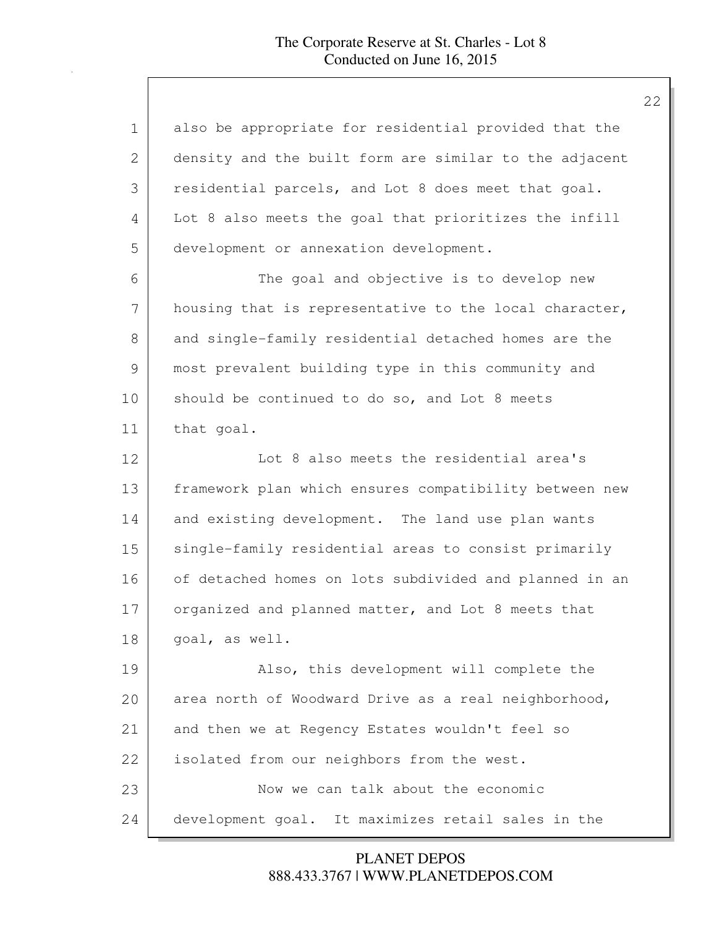| 1  | also be appropriate for residential provided that the  |
|----|--------------------------------------------------------|
| 2  | density and the built form are similar to the adjacent |
| 3  | residential parcels, and Lot 8 does meet that goal.    |
| 4  | Lot 8 also meets the goal that prioritizes the infill  |
| 5  | development or annexation development.                 |
| 6  | The goal and objective is to develop new               |
| 7  | housing that is representative to the local character, |
| 8  | and single-family residential detached homes are the   |
| 9  | most prevalent building type in this community and     |
| 10 | should be continued to do so, and Lot 8 meets          |
| 11 | that goal.                                             |
| 12 | Lot 8 also meets the residential area's                |
| 13 | framework plan which ensures compatibility between new |
| 14 | and existing development. The land use plan wants      |
| 15 | single-family residential areas to consist primarily   |
| 16 | of detached homes on lots subdivided and planned in an |
| 17 | organized and planned matter, and Lot 8 meets that     |
| 18 | goal, as well.                                         |
| 19 | Also, this development will complete the               |
| 20 | area north of Woodward Drive as a real neighborhood,   |
| 21 | and then we at Regency Estates wouldn't feel so        |
| 22 | isolated from our neighbors from the west.             |
| 23 | Now we can talk about the economic                     |
| 24 | development goal. It maximizes retail sales in the     |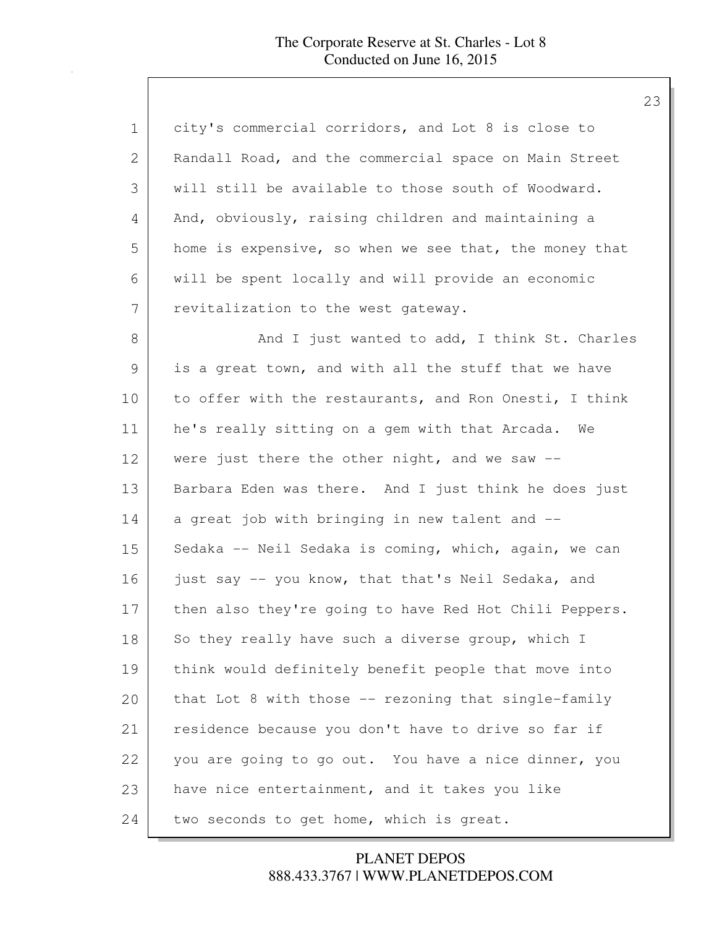| $\mathbf 1$ | city's commercial corridors, and Lot 8 is close to     |
|-------------|--------------------------------------------------------|
| 2           | Randall Road, and the commercial space on Main Street  |
| 3           | will still be available to those south of Woodward.    |
| 4           | And, obviously, raising children and maintaining a     |
| 5           | home is expensive, so when we see that, the money that |
| 6           | will be spent locally and will provide an economic     |
| 7           | revitalization to the west gateway.                    |
| $8\,$       | And I just wanted to add, I think St. Charles          |
| 9           | is a great town, and with all the stuff that we have   |
| 10          | to offer with the restaurants, and Ron Onesti, I think |
| 11          | he's really sitting on a gem with that Arcada. We      |
| 12          | were just there the other night, and we saw $-$ -      |
| 13          | Barbara Eden was there. And I just think he does just  |
| 14          | a great job with bringing in new talent and --         |
| 15          | Sedaka -- Neil Sedaka is coming, which, again, we can  |
| 16          | just say -- you know, that that's Neil Sedaka, and     |
| 17          | then also they're going to have Red Hot Chili Peppers. |
| 18          | So they really have such a diverse group, which I      |
| 19          | think would definitely benefit people that move into   |
| 20          | that Lot 8 with those -- rezoning that single-family   |
| 21          | residence because you don't have to drive so far if    |
| 22          | you are going to go out. You have a nice dinner, you   |
| 23          | have nice entertainment, and it takes you like         |
| 24          | two seconds to get home, which is great.               |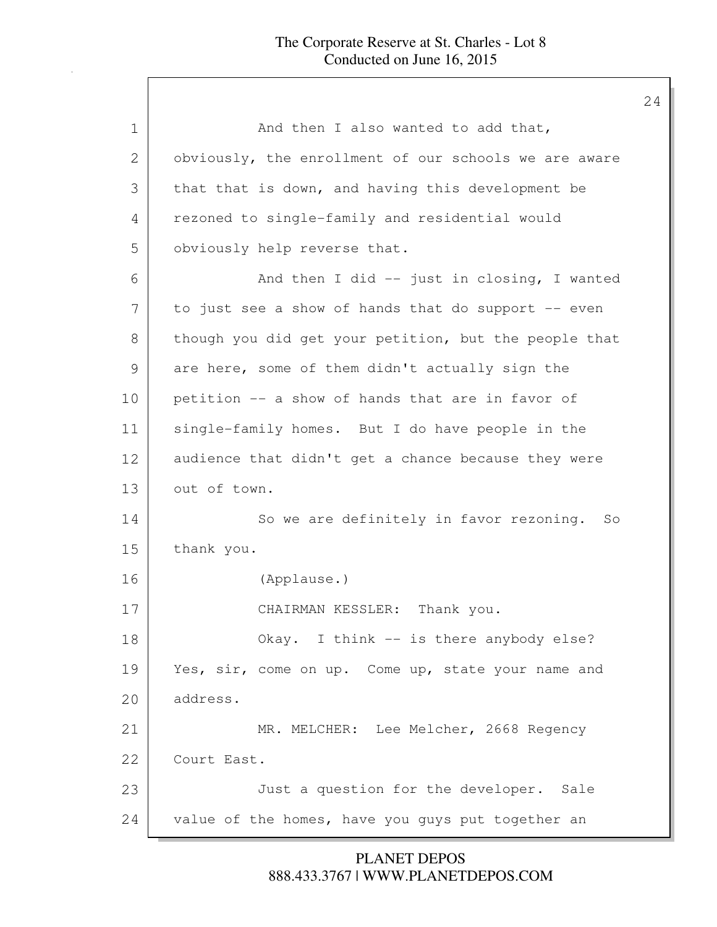| 1  | And then I also wanted to add that,                   |
|----|-------------------------------------------------------|
| 2  | obviously, the enrollment of our schools we are aware |
| 3  | that that is down, and having this development be     |
| 4  | rezoned to single-family and residential would        |
| 5  | obviously help reverse that.                          |
| 6  | And then I did $-$ just in closing, I wanted          |
| 7  | to just see a show of hands that do support -- even   |
| 8  | though you did get your petition, but the people that |
| 9  | are here, some of them didn't actually sign the       |
| 10 | petition -- a show of hands that are in favor of      |
| 11 | single-family homes. But I do have people in the      |
| 12 | audience that didn't get a chance because they were   |
| 13 | out of town.                                          |
| 14 | So we are definitely in favor rezoning. So            |
| 15 | thank you.                                            |
| 16 | (Applause.)                                           |
| 17 | CHAIRMAN KESSLER: Thank you.                          |
| 18 | Okay. I think -- is there anybody else?               |
| 19 | Yes, sir, come on up. Come up, state your name and    |
| 20 | address.                                              |
| 21 | MR. MELCHER: Lee Melcher, 2668 Regency                |
| 22 | Court East.                                           |
| 23 | Just a question for the developer. Sale               |
| 24 | value of the homes, have you guys put together an     |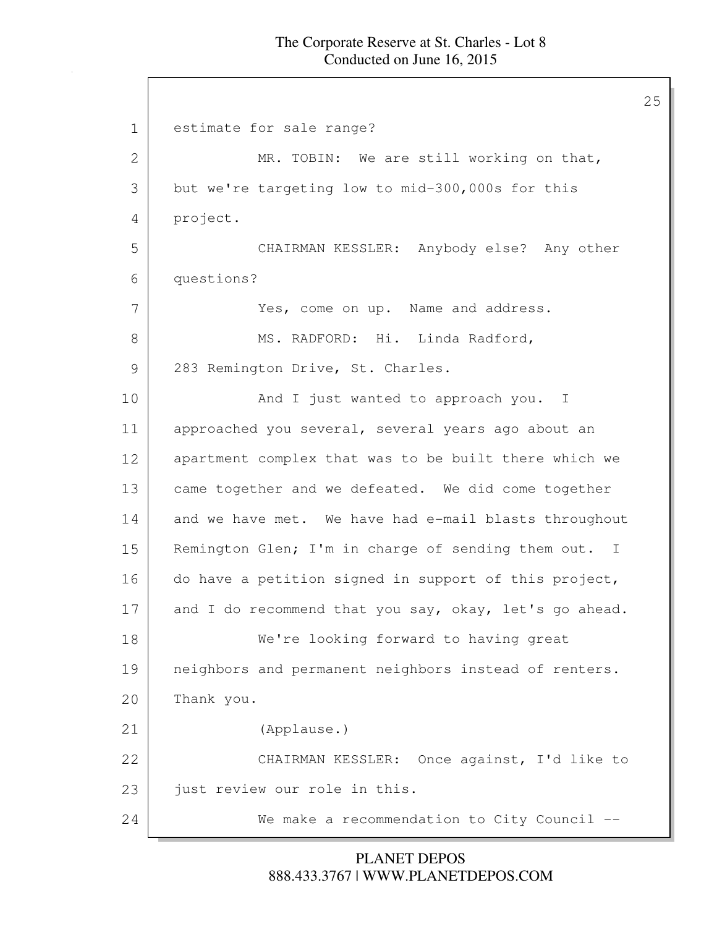#### The Corporate Reserve at St. Charles - Lot 8 Conducted on June 16, 2015

25

1 estimate for sale range? 2 MR. TOBIN: We are still working on that, 3 but we're targeting low to mid-300,000s for this 4 project. 5 CHAIRMAN KESSLER: Anybody else? Any other 6 questions? 7 Yes, come on up. Name and address. 8 MS. RADFORD: Hi. Linda Radford, 9 283 Remington Drive, St. Charles. 10 And I just wanted to approach you. I 11 approached you several, several years ago about an 12 apartment complex that was to be built there which we 13 came together and we defeated. We did come together 14 and we have met. We have had e-mail blasts throughout 15 Remington Glen; I'm in charge of sending them out. I 16 do have a petition signed in support of this project, 17 and I do recommend that you say, okay, let's go ahead. 18 We're looking forward to having great 19 | neighbors and permanent neighbors instead of renters. 20 Thank you. 21 (Applause.) 22 CHAIRMAN KESSLER: Once against, I'd like to 23 just review our role in this. 24 We make a recommendation to City Council --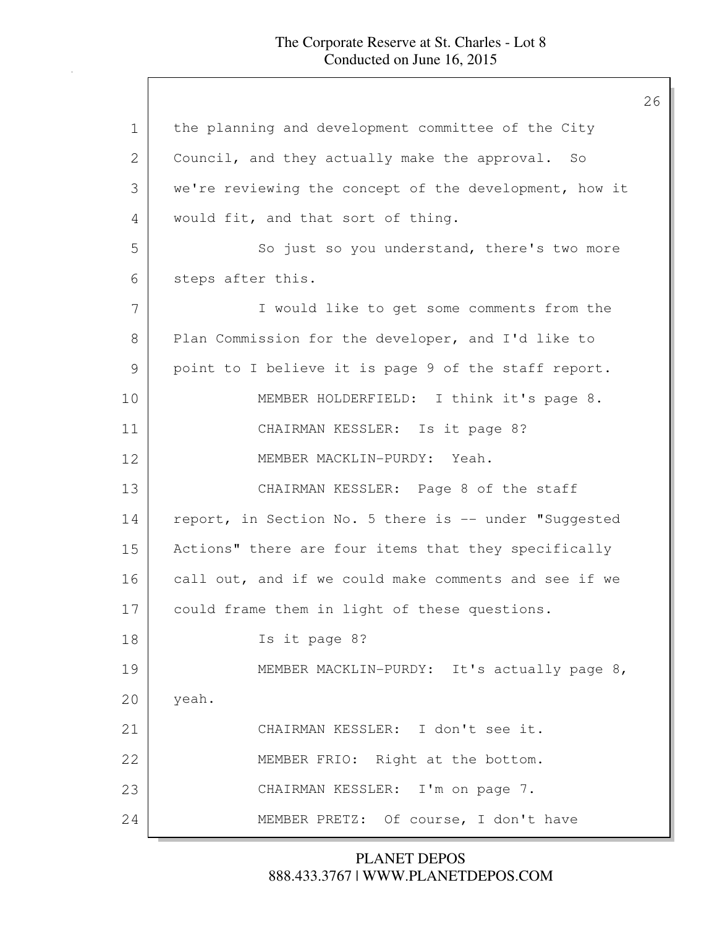| $\mathbf 1$ | the planning and development committee of the City     |
|-------------|--------------------------------------------------------|
| 2           | Council, and they actually make the approval. So       |
| 3           | we're reviewing the concept of the development, how it |
| 4           | would fit, and that sort of thing.                     |
| 5           | So just so you understand, there's two more            |
| 6           | steps after this.                                      |
| 7           | I would like to get some comments from the             |
| 8           | Plan Commission for the developer, and I'd like to     |
| 9           | point to I believe it is page 9 of the staff report.   |
| 10          | MEMBER HOLDERFIELD: I think it's page 8.               |
| 11          | CHAIRMAN KESSLER: Is it page 8?                        |
| 12          | MEMBER MACKLIN-PURDY: Yeah.                            |
| 13          | CHAIRMAN KESSLER: Page 8 of the staff                  |
| 14          | report, in Section No. 5 there is -- under "Suggested  |
| 15          | Actions" there are four items that they specifically   |
| 16          | call out, and if we could make comments and see if we  |
| 17          | could frame them in light of these questions.          |
| 18          | Is it page 8?                                          |
| 19          | MEMBER MACKLIN-PURDY: It's actually page 8,            |
| 20          | yeah.                                                  |
| 21          | CHAIRMAN KESSLER: I don't see it.                      |
| 22          | MEMBER FRIO: Right at the bottom.                      |
| 23          | CHAIRMAN KESSLER: I'm on page 7.                       |
| 24          | MEMBER PRETZ: Of course, I don't have                  |
|             |                                                        |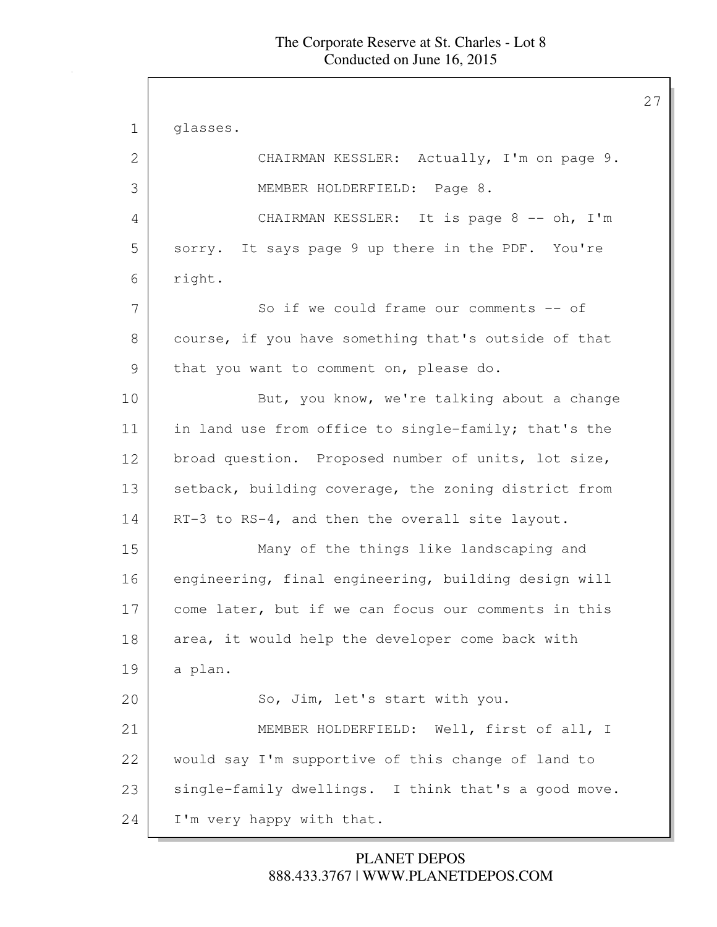1 glasses. 2 CHAIRMAN KESSLER: Actually, I'm on page 9. 3 MEMBER HOLDERFIELD: Page 8. 4 CHAIRMAN KESSLER: It is page 8 -- oh, I'm 5 sorry. It says page 9 up there in the PDF. You're 6 right. 7 So if we could frame our comments -- of 8 | course, if you have something that's outside of that 9 that you want to comment on, please do. 10 But, you know, we're talking about a change 11 in land use from office to single-family; that's the 12 broad question. Proposed number of units, lot size, 13 setback, building coverage, the zoning district from 14 RT-3 to RS-4, and then the overall site layout. 15 Many of the things like landscaping and 16 engineering, final engineering, building design will 17 come later, but if we can focus our comments in this 18 area, it would help the developer come back with 19 a plan. 20 So, Jim, let's start with you. 21 MEMBER HOLDERFIELD: Well, first of all, I 22 would say I'm supportive of this change of land to 23 single-family dwellings. I think that's a good move. 24 I'm very happy with that.

## 888.433.3767 | WWW.PLANETDEPOS.COM PLANET DEPOS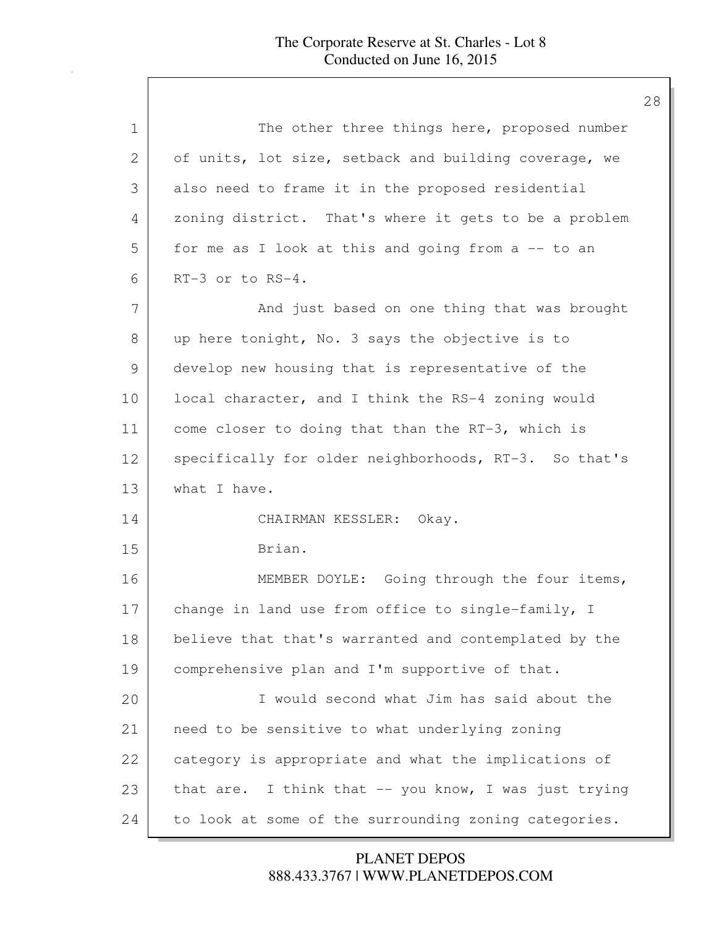| $\mathbf 1$ | The other three things here, proposed number          |
|-------------|-------------------------------------------------------|
| 2           | of units, lot size, setback and building coverage, we |
| 3           | also need to frame it in the proposed residential     |
| 4           | zoning district. That's where it gets to be a problem |
| 5           | for me as I look at this and going from a -- to an    |
| 6           | RT-3 or to RS-4.                                      |
| 7           | And just based on one thing that was brought          |
| 8           | up here tonight, No. 3 says the objective is to       |
| 9           | develop new housing that is representative of the     |
| 10          | local character, and I think the RS-4 zoning would    |
| 11          | come closer to doing that than the RT-3, which is     |
| 12          | specifically for older neighborhoods, RT-3. So that's |
| 13          | what I have.                                          |
| 14          | CHAIRMAN KESSLER: Okay.                               |
| 15          | Brian.                                                |
| 16          | MEMBER DOYLE: Going through the four items,           |
| 17          | change in land use from office to single-family, I    |
| 18          | believe that that's warranted and contemplated by the |
| 19          | comprehensive plan and I'm supportive of that.        |
| 20          | I would second what Jim has said about the            |
| 21          | need to be sensitive to what underlying zoning        |
| 22          | category is appropriate and what the implications of  |
| 23          | that are. I think that -- you know, I was just trying |
| 24          | to look at some of the surrounding zoning categories. |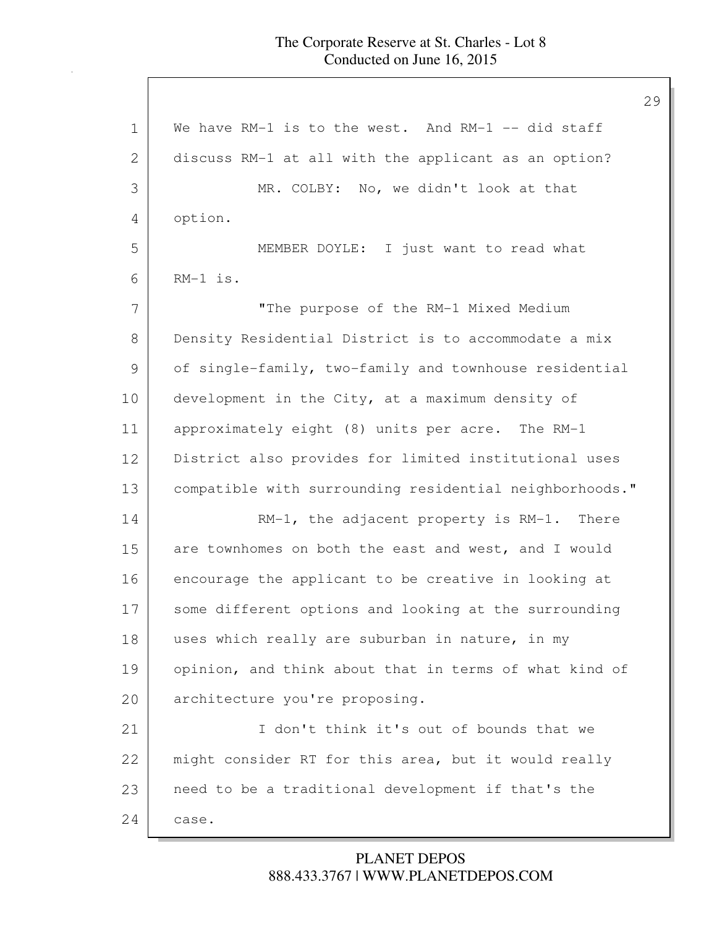1 We have RM-1 is to the west. And RM-1 -- did staff 2 discuss RM-1 at all with the applicant as an option? 3 MR. COLBY: No, we didn't look at that 4 option. 5 MEMBER DOYLE: I just want to read what 6 RM-1 is. 7 "The purpose of the RM-1 Mixed Medium 8 Density Residential District is to accommodate a mix 9 of single-family, two-family and townhouse residential 10 development in the City, at a maximum density of 11 approximately eight (8) units per acre. The RM-1 12 District also provides for limited institutional uses 13 compatible with surrounding residential neighborhoods." 14 RM-1, the adjacent property is RM-1. There 15 are townhomes on both the east and west, and I would 16 encourage the applicant to be creative in looking at 17 some different options and looking at the surrounding 18 uses which really are suburban in nature, in my 19 opinion, and think about that in terms of what kind of 20 architecture you're proposing. 21 I don't think it's out of bounds that we 22 might consider RT for this area, but it would really 23 need to be a traditional development if that's the 24 | case.

## 888.433.3767 | WWW.PLANETDEPOS.COM PLANET DEPOS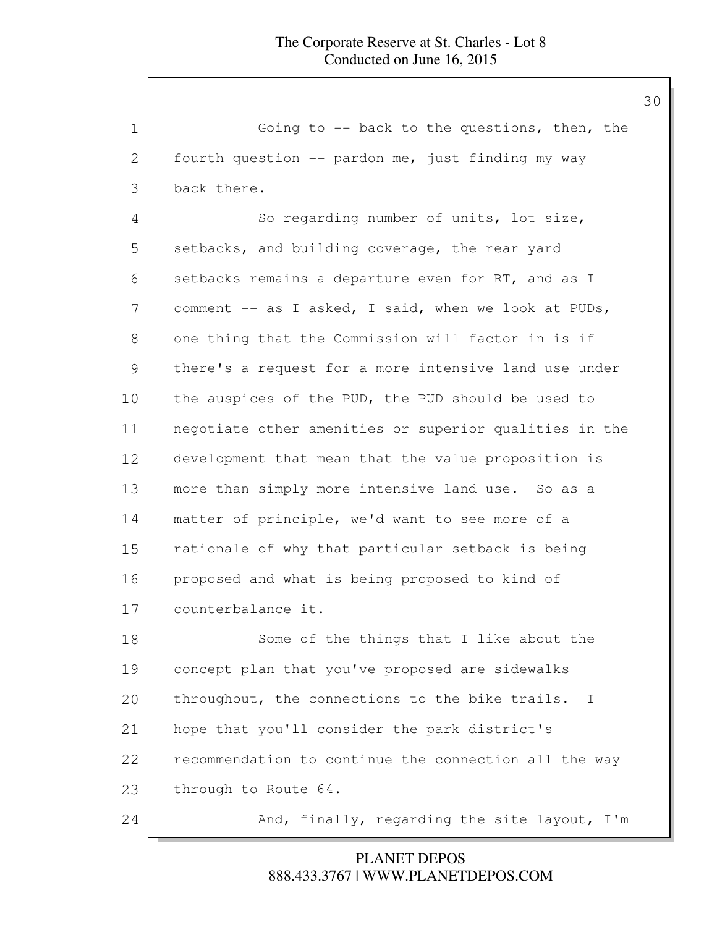1 Going to -- back to the questions, then, the 2 fourth question -- pardon me, just finding my way 3 back there. 4 So regarding number of units, lot size, 5 setbacks, and building coverage, the rear yard 6 setbacks remains a departure even for RT, and as I 7 comment -- as I asked, I said, when we look at PUDs, 8 one thing that the Commission will factor in is if 9 there's a request for a more intensive land use under 10 | the auspices of the PUD, the PUD should be used to 11 negotiate other amenities or superior qualities in the 12 development that mean that the value proposition is 13 | more than simply more intensive land use. So as a 14 matter of principle, we'd want to see more of a 15 | rationale of why that particular setback is being 16 proposed and what is being proposed to kind of 17 counterbalance it. 18 Some of the things that I like about the 19 concept plan that you've proposed are sidewalks 20 throughout, the connections to the bike trails. I 21 | hope that you'll consider the park district's 22 recommendation to continue the connection all the way 23 through to Route 64. 24 And, finally, regarding the site layout, I'm

## 888.433.3767 | WWW.PLANETDEPOS.COM PLANET DEPOS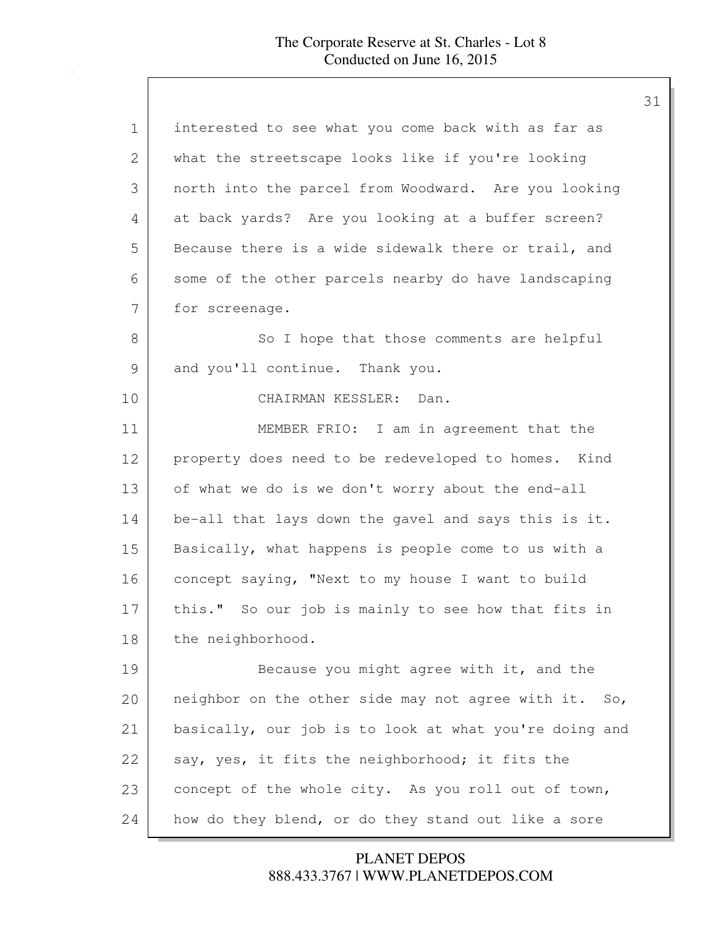| $\mathbf 1$ | interested to see what you come back with as far as    |
|-------------|--------------------------------------------------------|
| 2           | what the streetscape looks like if you're looking      |
| 3           | north into the parcel from Woodward. Are you looking   |
| 4           | at back yards? Are you looking at a buffer screen?     |
| 5           | Because there is a wide sidewalk there or trail, and   |
| 6           | some of the other parcels nearby do have landscaping   |
| 7           | for screenage.                                         |
| 8           | So I hope that those comments are helpful              |
| 9           | and you'll continue. Thank you.                        |
| 10          | CHAIRMAN KESSLER: Dan.                                 |
| 11          | MEMBER FRIO: I am in agreement that the                |
| 12          | property does need to be redeveloped to homes. Kind    |
| 13          | of what we do is we don't worry about the end-all      |
| 14          | be-all that lays down the gavel and says this is it.   |
| 15          | Basically, what happens is people come to us with a    |
| 16          | concept saying, "Next to my house I want to build      |
| 17          | this." So our job is mainly to see how that fits in    |
| 18          | the neighborhood.                                      |
| 19          | Because you might agree with it, and the               |
| 20          | neighbor on the other side may not agree with it. So,  |
| 21          | basically, our job is to look at what you're doing and |
| 22          | say, yes, it fits the neighborhood; it fits the        |
| 23          | concept of the whole city. As you roll out of town,    |
| 24          | how do they blend, or do they stand out like a sore    |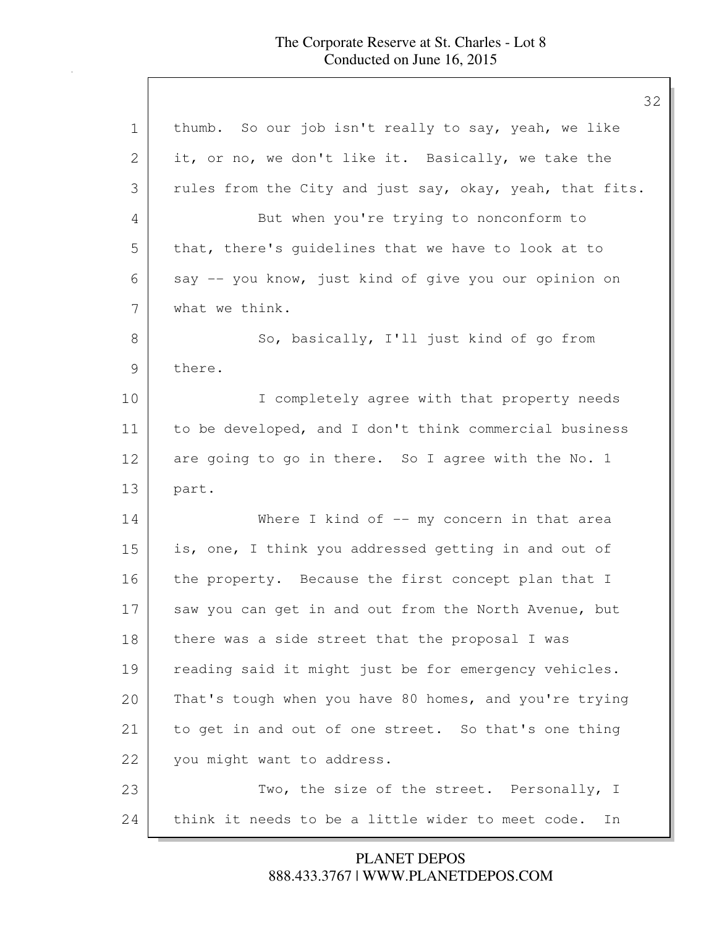## The Corporate Reserve at St. Charles - Lot 8 Conducted on June 16, 2015

 $\mathbf l$ 

| 1             | thumb. So our job isn't really to say, yeah, we like     |
|---------------|----------------------------------------------------------|
| $\mathbf{2}$  | it, or no, we don't like it. Basically, we take the      |
| 3             | rules from the City and just say, okay, yeah, that fits. |
| 4             | But when you're trying to nonconform to                  |
| 5             | that, there's guidelines that we have to look at to      |
| 6             | say -- you know, just kind of give you our opinion on    |
| 7             | what we think.                                           |
| 8             | So, basically, I'll just kind of go from                 |
| $\mathcal{G}$ | there.                                                   |
| 10            | I completely agree with that property needs              |
| 11            | to be developed, and I don't think commercial business   |
| 12            | are going to go in there. So I agree with the No. 1      |
| 13            | part.                                                    |
| 14            | Where I kind of -- my concern in that area               |
| 15            | is, one, I think you addressed getting in and out of     |
| 16            | the property. Because the first concept plan that I      |
| 17            | saw you can get in and out from the North Avenue, but    |
| 18            | there was a side street that the proposal I was          |
| 19            | reading said it might just be for emergency vehicles.    |
| 20            | That's tough when you have 80 homes, and you're trying   |
| 21            | to get in and out of one street. So that's one thing     |
| 22            | you might want to address.                               |
| 23            | Two, the size of the street. Personally, I               |
| 24            | think it needs to be a little wider to meet code.<br>In  |

888.433.3767 | WWW.PLANETDEPOS.COM PLANET DEPOS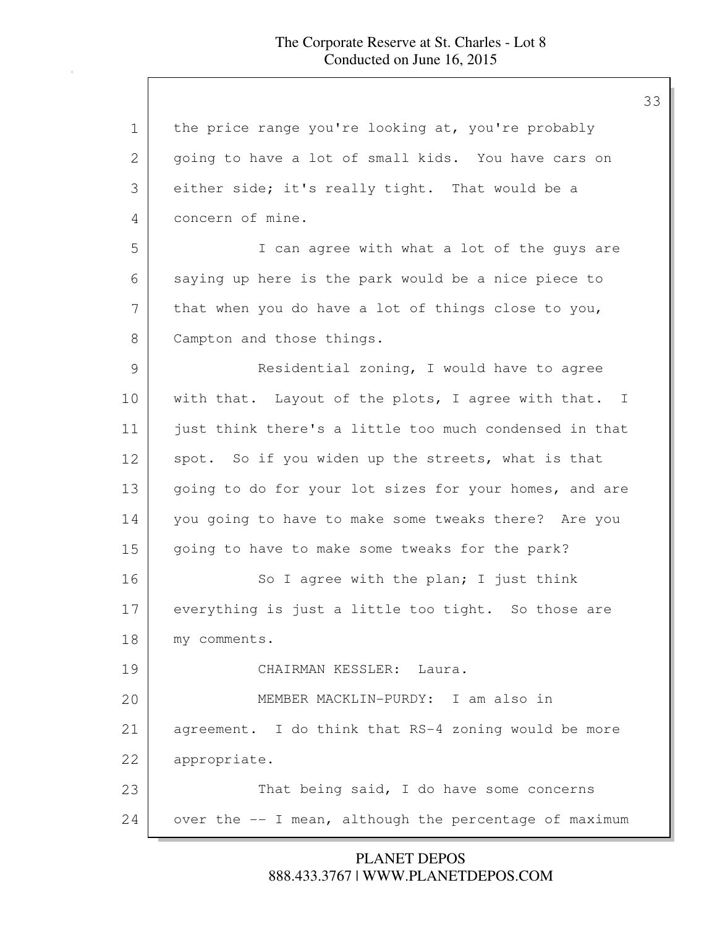| $\mathbf 1$ | the price range you're looking at, you're probably     |
|-------------|--------------------------------------------------------|
| 2           | going to have a lot of small kids. You have cars on    |
| 3           | either side; it's really tight. That would be a        |
| 4           | concern of mine.                                       |
| 5           | I can agree with what a lot of the guys are            |
| 6           | saying up here is the park would be a nice piece to    |
| 7           | that when you do have a lot of things close to you,    |
| 8           | Campton and those things.                              |
| 9           | Residential zoning, I would have to agree              |
| 10          | with that. Layout of the plots, I agree with that. I   |
| 11          | just think there's a little too much condensed in that |
| 12          | spot. So if you widen up the streets, what is that     |
| 13          | going to do for your lot sizes for your homes, and are |
| 14          | you going to have to make some tweaks there? Are you   |
| 15          | going to have to make some tweaks for the park?        |
| 16          | So I agree with the plan; I just think                 |
| 17          | everything is just a little too tight. So those are    |
| 18          | my comments.                                           |
| 19          | CHAIRMAN KESSLER: Laura.                               |
| 20          | MEMBER MACKLIN-PURDY: I am also in                     |
| 21          | agreement. I do think that RS-4 zoning would be more   |
| 22          | appropriate.                                           |
| 23          | That being said, I do have some concerns               |
| 24          | over the -- I mean, although the percentage of maximum |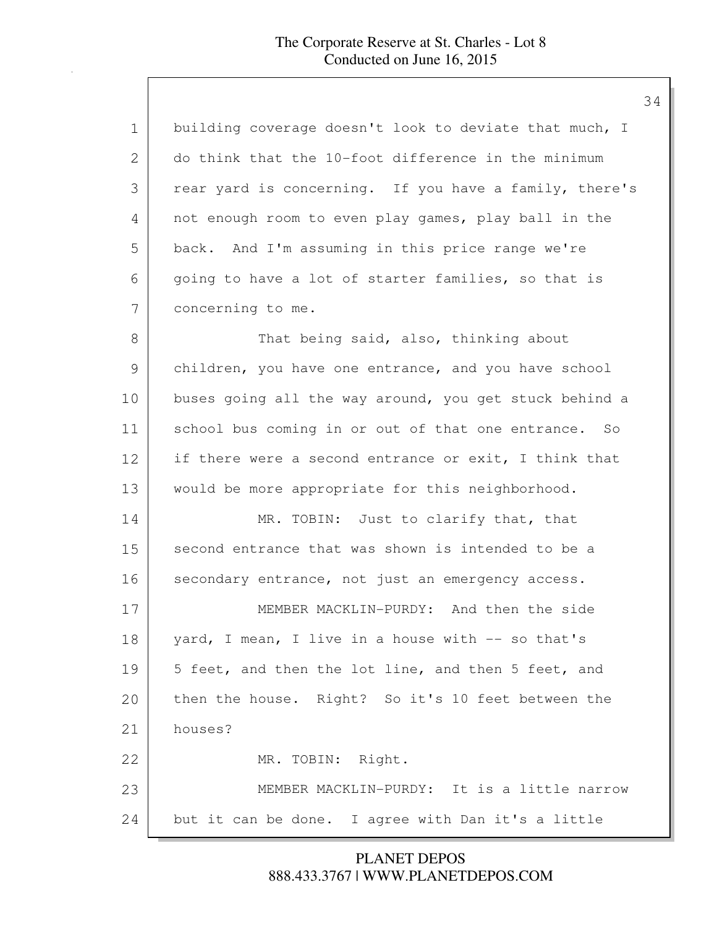| $\mathbf 1$ | building coverage doesn't look to deviate that much, I |
|-------------|--------------------------------------------------------|
| 2           | do think that the 10-foot difference in the minimum    |
| 3           | rear yard is concerning. If you have a family, there's |
| 4           | not enough room to even play games, play ball in the   |
| 5           | back. And I'm assuming in this price range we're       |
| 6           | going to have a lot of starter families, so that is    |
| 7           | concerning to me.                                      |
| 8           | That being said, also, thinking about                  |
| 9           | children, you have one entrance, and you have school   |
| 10          | buses going all the way around, you get stuck behind a |
| 11          | school bus coming in or out of that one entrance. So   |
| 12          | if there were a second entrance or exit, I think that  |
| 13          | would be more appropriate for this neighborhood.       |
| 14          | MR. TOBIN: Just to clarify that, that                  |
| 15          | second entrance that was shown is intended to be a     |
| 16          | secondary entrance, not just an emergency access.      |
| 17          | MEMBER MACKLIN-PURDY: And then the side                |
| 18          | yard, I mean, I live in a house with -- so that's      |
| 19          | 5 feet, and then the lot line, and then 5 feet, and    |
| 20          | then the house. Right? So it's 10 feet between the     |
| 21          | houses?                                                |
| 22          | MR. TOBIN: Right.                                      |
| 23          | MEMBER MACKLIN-PURDY: It is a little narrow            |
| 24          | but it can be done. I agree with Dan it's a little     |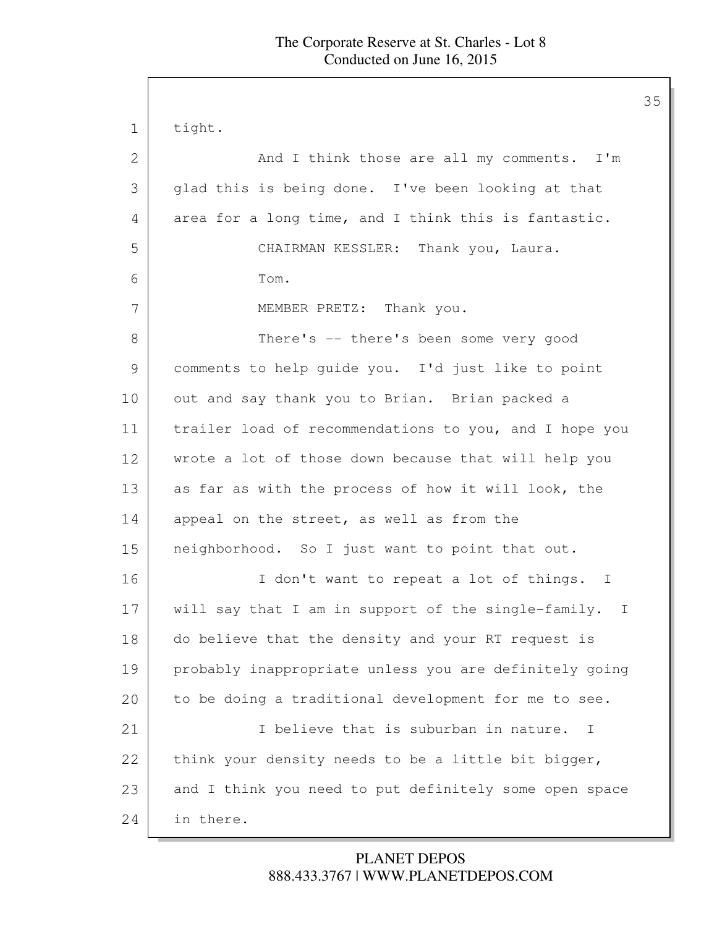| $\mathbf 1$ | tight.                                                 |
|-------------|--------------------------------------------------------|
| 2           | And I think those are all my comments. I'm             |
| 3           | glad this is being done. I've been looking at that     |
| 4           | area for a long time, and I think this is fantastic.   |
| 5           | CHAIRMAN KESSLER: Thank you, Laura.                    |
| 6           | Tom.                                                   |
| 7           | MEMBER PRETZ: Thank you.                               |
| 8           | There's -- there's been some very good                 |
| 9           | comments to help guide you. I'd just like to point     |
| 10          | out and say thank you to Brian. Brian packed a         |
| 11          | trailer load of recommendations to you, and I hope you |
| 12          | wrote a lot of those down because that will help you   |
| 13          | as far as with the process of how it will look, the    |
| 14          | appeal on the street, as well as from the              |
| 15          | neighborhood. So I just want to point that out.        |
| 16          | I don't want to repeat a lot of things. I              |
| 17          | will say that I am in support of the single-family. I  |
| 18          | do believe that the density and your RT request is     |
| 19          | probably inappropriate unless you are definitely going |
| 20          | to be doing a traditional development for me to see.   |
| 21          | I believe that is suburban in nature.<br>$\mathbf{I}$  |
| 22          | think your density needs to be a little bit bigger,    |
| 23          | and I think you need to put definitely some open space |
| 24          | in there.                                              |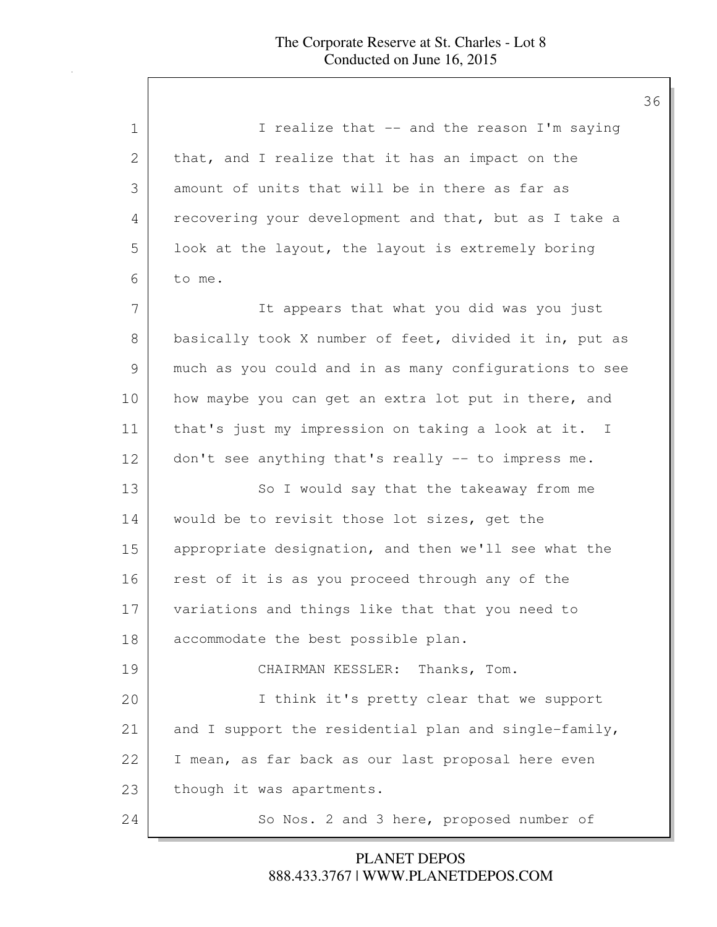| $\mathbf 1$ | I realize that -- and the reason I'm saying            |
|-------------|--------------------------------------------------------|
| 2           | that, and I realize that it has an impact on the       |
| 3           | amount of units that will be in there as far as        |
| 4           | recovering your development and that, but as I take a  |
| 5           | look at the layout, the layout is extremely boring     |
| 6           | to me.                                                 |
| 7           | It appears that what you did was you just              |
| 8           | basically took X number of feet, divided it in, put as |
| 9           | much as you could and in as many configurations to see |
| 10          | how maybe you can get an extra lot put in there, and   |
| 11          | that's just my impression on taking a look at it. I    |
| 12          | don't see anything that's really -- to impress me.     |
| 13          | So I would say that the takeaway from me               |
| 14          | would be to revisit those lot sizes, get the           |
| 15          | appropriate designation, and then we'll see what the   |
| 16          | rest of it is as you proceed through any of the        |
| 17          | variations and things like that that you need to       |
| 18          | accommodate the best possible plan.                    |
| 19          | CHAIRMAN KESSLER: Thanks, Tom.                         |
| 20          | I think it's pretty clear that we support              |
| 21          | and I support the residential plan and single-family,  |
| 22          | I mean, as far back as our last proposal here even     |
| 23          | though it was apartments.                              |
| 24          | So Nos. 2 and 3 here, proposed number of               |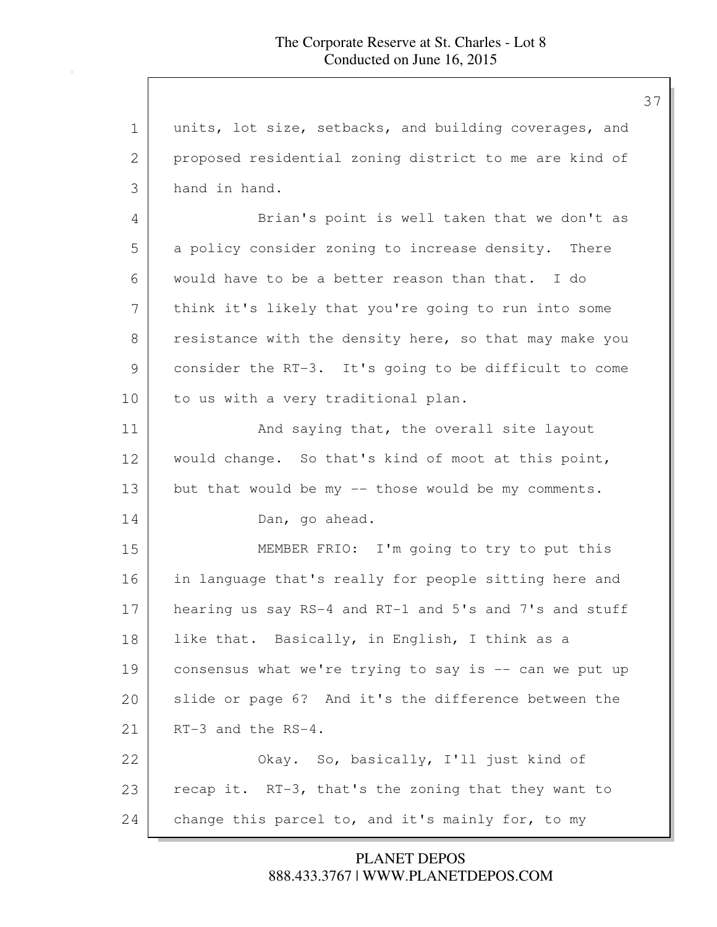37

1 units, lot size, setbacks, and building coverages, and 2 proposed residential zoning district to me are kind of 3 hand in hand. 4 Brian's point is well taken that we don't as 5 a policy consider zoning to increase density. There 6 would have to be a better reason than that. I do 7 | think it's likely that you're going to run into some 8 resistance with the density here, so that may make you 9 consider the RT-3. It's going to be difficult to come 10 to us with a very traditional plan. 11 And saying that, the overall site layout 12 | would change. So that's kind of moot at this point, 13 but that would be my -- those would be my comments. 14 Dan, go ahead. 15 MEMBER FRIO: I'm going to try to put this 16 in language that's really for people sitting here and 17 hearing us say RS-4 and RT-1 and 5's and 7's and stuff 18 | like that. Basically, in English, I think as a 19 consensus what we're trying to say is -- can we put up 20 Slide or page 6? And it's the difference between the 21 RT-3 and the RS-4. 22 Okay. So, basically, I'll just kind of 23 recap it. RT-3, that's the zoning that they want to 24 change this parcel to, and it's mainly for, to my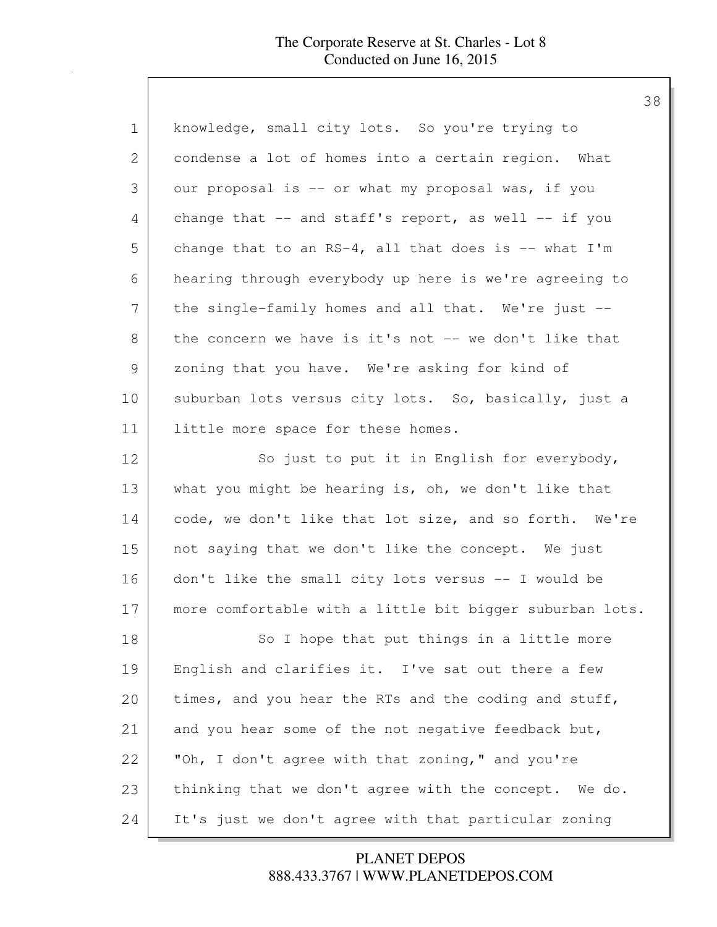| $\mathbf 1$ | knowledge, small city lots. So you're trying to          |
|-------------|----------------------------------------------------------|
| 2           | condense a lot of homes into a certain region. What      |
| 3           | our proposal is -- or what my proposal was, if you       |
| 4           | change that $--$ and staff's report, as well $--$ if you |
| 5           | change that to an RS-4, all that does is -- what $I'm$   |
| 6           | hearing through everybody up here is we're agreeing to   |
| 7           | the single-family homes and all that. We're just --      |
| 8           | the concern we have is it's not -- we don't like that    |
| 9           | zoning that you have. We're asking for kind of           |
| 10          | suburban lots versus city lots. So, basically, just a    |
| 11          | little more space for these homes.                       |
| 12          | So just to put it in English for everybody,              |
| 13          | what you might be hearing is, oh, we don't like that     |
| 14          | code, we don't like that lot size, and so forth. We're   |
| 15          | not saying that we don't like the concept. We just       |
| 16          | don't like the small city lots versus -- I would be      |
| 17          | more comfortable with a little bit bigger suburban lots. |
| 18          | So I hope that put things in a little more               |
| 19          | English and clarifies it. I've sat out there a few       |
| 20          | times, and you hear the RTs and the coding and stuff,    |
| 21          | and you hear some of the not negative feedback but,      |
| 22          | "Oh, I don't agree with that zoning," and you're         |
| 23          | thinking that we don't agree with the concept. We do.    |
| 24          | It's just we don't agree with that particular zoning     |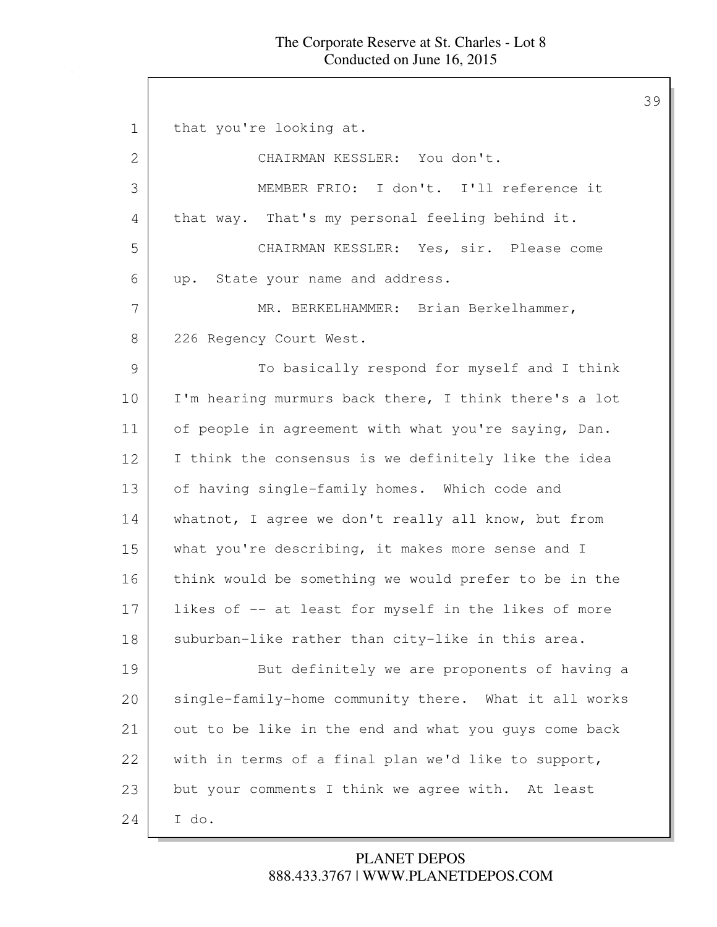1 that you're looking at. 2 CHAIRMAN KESSLER: You don't. 3 MEMBER FRIO: I don't. I'll reference it 4 that way. That's my personal feeling behind it. 5 CHAIRMAN KESSLER: Yes, sir. Please come 6 up. State your name and address. 7 | MR. BERKELHAMMER: Brian Berkelhammer, 8 226 Regency Court West. 9 To basically respond for myself and I think 10 | I'm hearing murmurs back there, I think there's a lot 11 of people in agreement with what you're saying, Dan. 12 I think the consensus is we definitely like the idea 13 of having single-family homes. Which code and 14 whatnot, I agree we don't really all know, but from 15 what you're describing, it makes more sense and I 16 think would be something we would prefer to be in the 17 likes of -- at least for myself in the likes of more 18 | suburban-like rather than city-like in this area. 19 But definitely we are proponents of having a 20 single-family-home community there. What it all works 21 out to be like in the end and what you guys come back 22 with in terms of a final plan we'd like to support, 23 but your comments I think we agree with. At least  $24$  I do.

## 888.433.3767 | WWW.PLANETDEPOS.COM PLANET DEPOS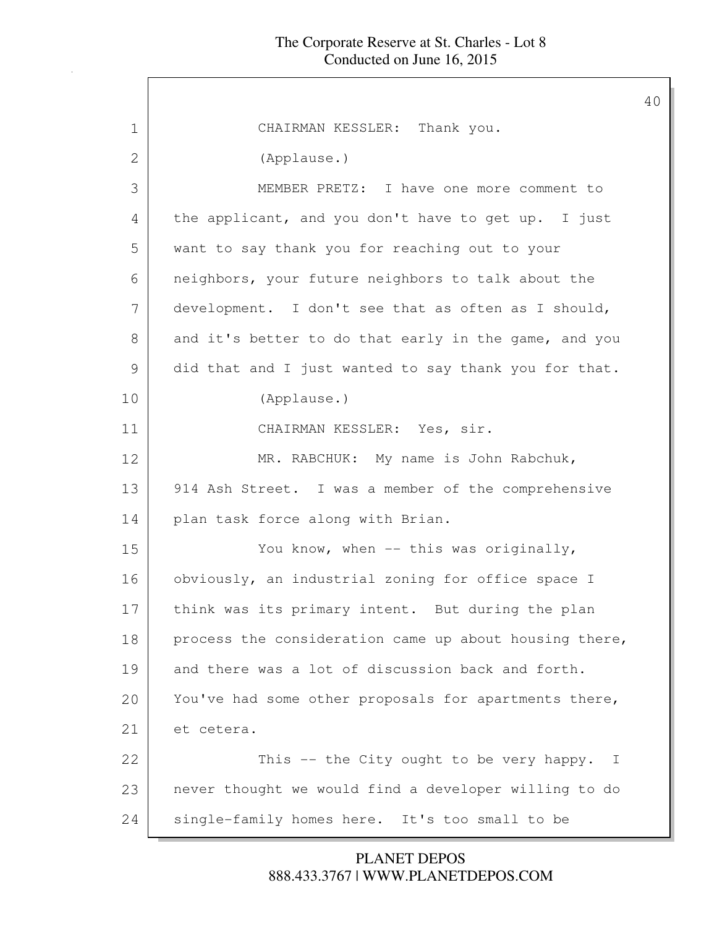40

1 CHAIRMAN KESSLER: Thank you. 2 (Applause.) 3 MEMBER PRETZ: I have one more comment to 4 the applicant, and you don't have to get up. I just 5 want to say thank you for reaching out to your 6 neighbors, your future neighbors to talk about the 7 development. I don't see that as often as I should, 8 and it's better to do that early in the game, and you 9 did that and I just wanted to say thank you for that. 10 (Applause.) 11 CHAIRMAN KESSLER: Yes, sir. 12 | MR. RABCHUK: My name is John Rabchuk, 13 914 Ash Street. I was a member of the comprehensive 14 plan task force along with Brian. 15 You know, when -- this was originally, 16 obviously, an industrial zoning for office space I 17 think was its primary intent. But during the plan 18 process the consideration came up about housing there, 19 and there was a lot of discussion back and forth. 20 You've had some other proposals for apartments there, 21 et cetera. 22 This -- the City ought to be very happy. I 23 never thought we would find a developer willing to do 24 single-family homes here. It's too small to be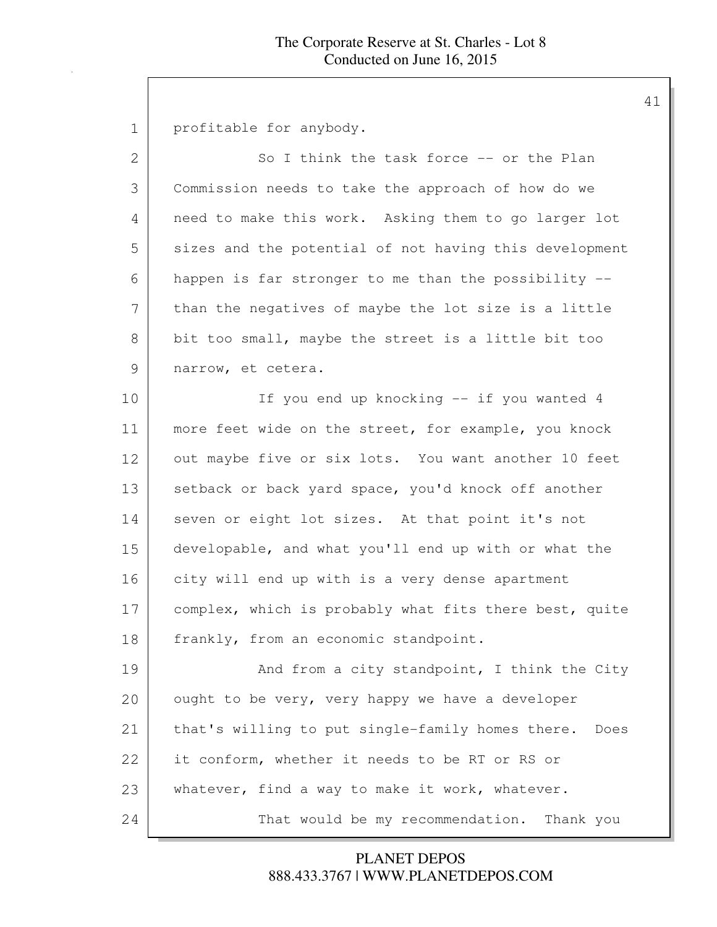1 profitable for anybody.

| $\mathbf{2}$ | So I think the task force -- or the Plan                 |
|--------------|----------------------------------------------------------|
| 3            | Commission needs to take the approach of how do we       |
| 4            | need to make this work. Asking them to go larger lot     |
| 5            | sizes and the potential of not having this development   |
| 6            | happen is far stronger to me than the possibility --     |
| 7            | than the negatives of maybe the lot size is a little     |
| 8            | bit too small, maybe the street is a little bit too      |
| 9            | narrow, et cetera.                                       |
| 10           | If you end up knocking -- if you wanted 4                |
| 11           | more feet wide on the street, for example, you knock     |
| 12           | out maybe five or six lots. You want another 10 feet     |
| 13           | setback or back yard space, you'd knock off another      |
| 14           | seven or eight lot sizes. At that point it's not         |
| 15           | developable, and what you'll end up with or what the     |
| 16           | city will end up with is a very dense apartment          |
| 17           | complex, which is probably what fits there best, quite   |
| 18           | frankly, from an economic standpoint.                    |
| 19           | And from a city standpoint, I think the City             |
| 20           | ought to be very, very happy we have a developer         |
| 21           | that's willing to put single-family homes there.<br>Does |
| 22           | it conform, whether it needs to be RT or RS or           |
| 23           | whatever, find a way to make it work, whatever.          |
| 24           | That would be my recommendation.<br>Thank you            |

888.433.3767 | WWW.PLANETDEPOS.COM PLANET DEPOS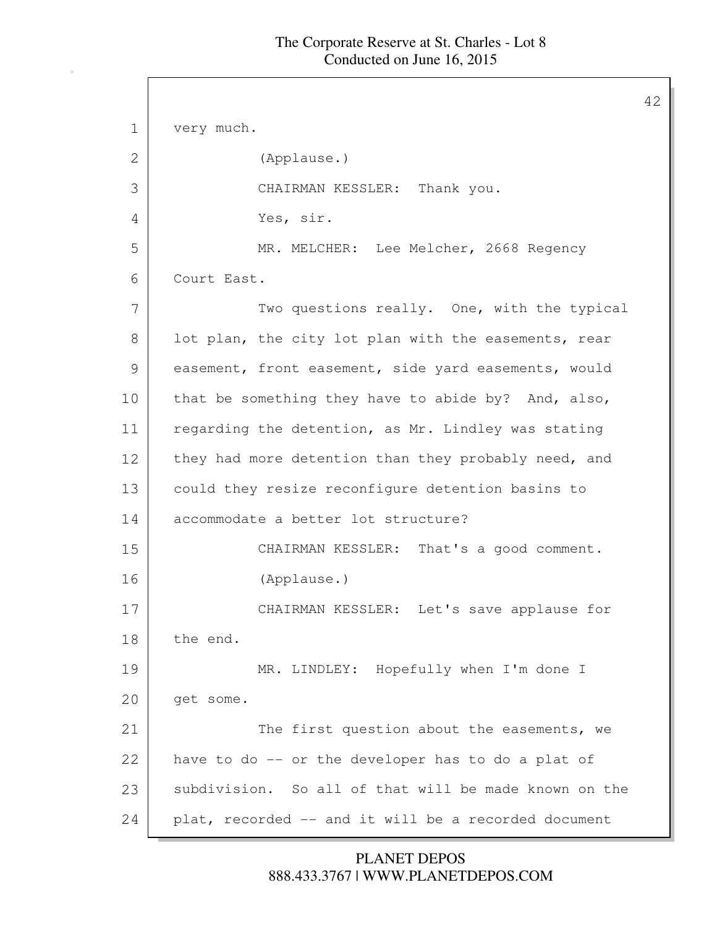42

1 very much. 2 (Applause.) 3 CHAIRMAN KESSLER: Thank you. 4 Yes, sir. 5 MR. MELCHER: Lee Melcher, 2668 Regency 6 Court East. 7 Two questions really. One, with the typical 8 lot plan, the city lot plan with the easements, rear 9 easement, front easement, side yard easements, would 10 that be something they have to abide by? And, also, 11 regarding the detention, as Mr. Lindley was stating 12 they had more detention than they probably need, and 13 could they resize reconfigure detention basins to 14 accommodate a better lot structure? 15 CHAIRMAN KESSLER: That's a good comment. 16 (Applause.) 17 CHAIRMAN KESSLER: Let's save applause for 18 the end. 19 MR. LINDLEY: Hopefully when I'm done I 20 | get some. 21 The first question about the easements, we 22 have to do -- or the developer has to do a plat of 23 subdivision. So all of that will be made known on the 24 plat, recorded -- and it will be a recorded document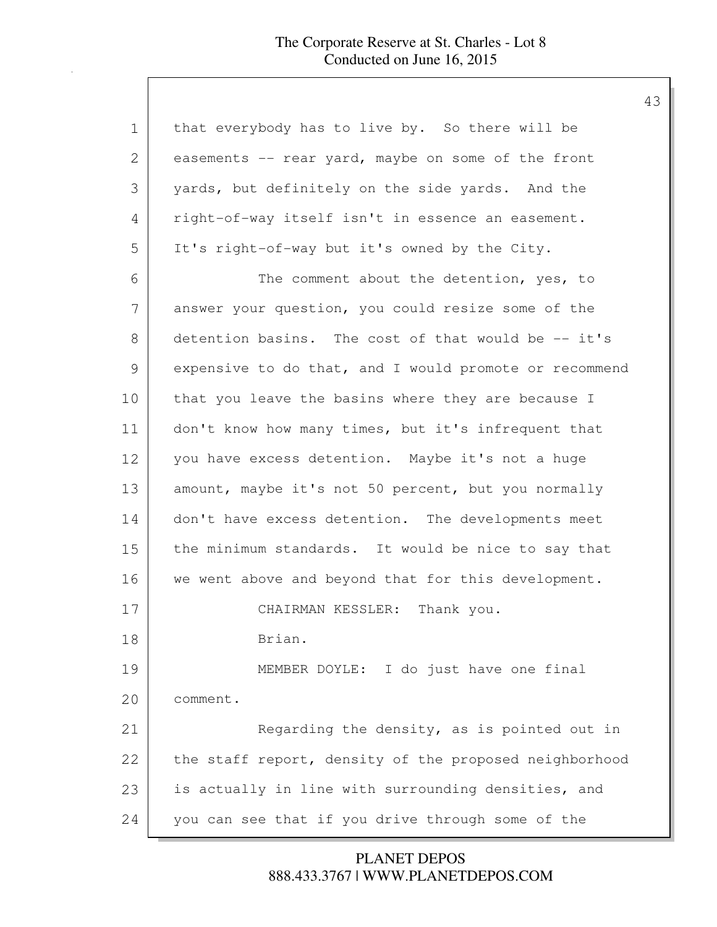| $\mathbf 1$ | that everybody has to live by. So there will be        |
|-------------|--------------------------------------------------------|
| 2           | easements -- rear yard, maybe on some of the front     |
| 3           | yards, but definitely on the side yards. And the       |
| 4           | right-of-way itself isn't in essence an easement.      |
| 5           | It's right-of-way but it's owned by the City.          |
| 6           | The comment about the detention, yes, to               |
| 7           | answer your question, you could resize some of the     |
| 8           | detention basins. The cost of that would be -- it's    |
| 9           | expensive to do that, and I would promote or recommend |
| 10          | that you leave the basins where they are because I     |
| 11          | don't know how many times, but it's infrequent that    |
| 12          | you have excess detention. Maybe it's not a huge       |
| 13          | amount, maybe it's not 50 percent, but you normally    |
| 14          | don't have excess detention. The developments meet     |
| 15          | the minimum standards. It would be nice to say that    |
| 16          | we went above and beyond that for this development.    |
| 17          | CHAIRMAN KESSLER: Thank you.                           |
| 18          | Brian.                                                 |
| 19          | MEMBER DOYLE: I do just have one final                 |
| 20          | comment.                                               |
| 21          | Regarding the density, as is pointed out in            |
| 22          | the staff report, density of the proposed neighborhood |
| 23          | is actually in line with surrounding densities, and    |
| 24          | you can see that if you drive through some of the      |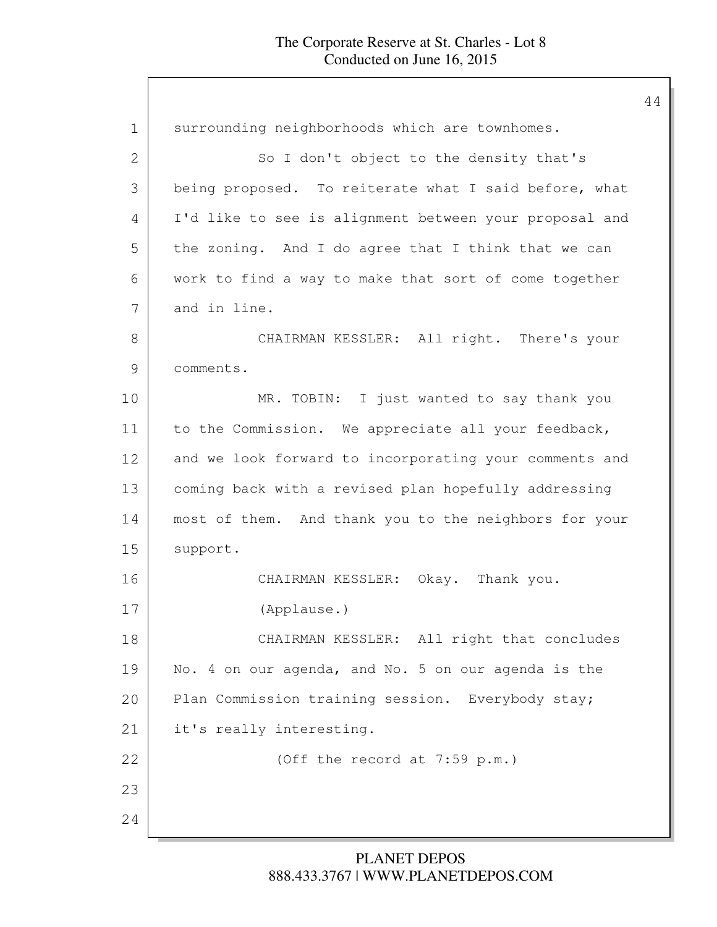| $\mathbf 1$   | surrounding neighborhoods which are townhomes.         |
|---------------|--------------------------------------------------------|
| 2             | So I don't object to the density that's                |
| 3             | being proposed. To reiterate what I said before, what  |
| 4             | I'd like to see is alignment between your proposal and |
| 5             | the zoning. And I do agree that I think that we can    |
| 6             | work to find a way to make that sort of come together  |
| 7             | and in line.                                           |
| $8\,$         | CHAIRMAN KESSLER: All right. There's your              |
| $\mathcal{G}$ | comments.                                              |
| 10            | MR. TOBIN: I just wanted to say thank you              |
| 11            | to the Commission. We appreciate all your feedback,    |
| 12            | and we look forward to incorporating your comments and |
| 13            | coming back with a revised plan hopefully addressing   |
| 14            | most of them. And thank you to the neighbors for your  |
| 15            | support.                                               |
| 16            | CHAIRMAN KESSLER: Okay. Thank you.                     |
| 17            | (Applause.)                                            |
| 18            | CHAIRMAN KESSLER: All right that concludes             |
| 19            | No. 4 on our agenda, and No. 5 on our agenda is the    |
| 20            | Plan Commission training session. Everybody stay;      |
| 21            | it's really interesting.                               |
| 22            | (Off the record at 7:59 p.m.)                          |
| 23            |                                                        |
| 24            |                                                        |